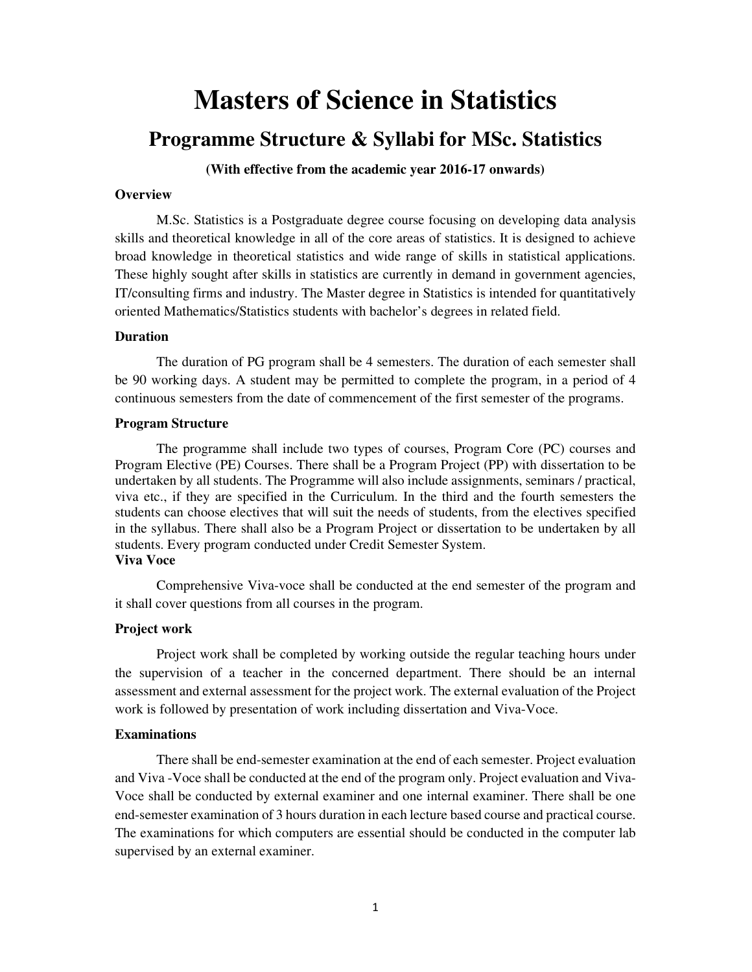# **Masters of Science in Statistics**

# **Programme Structure & Syllabi for MSc. Statistics**

**(With effective from the academic year 2016-17 onwards)** 

#### **Overview**

M.Sc. Statistics is a Postgraduate degree course focusing on developing data analysis skills and theoretical knowledge in all of the core areas of statistics. It is designed to achieve broad knowledge in theoretical statistics and wide range of skills in statistical applications. These highly sought after skills in statistics are currently in demand in government agencies, IT/consulting firms and industry. The Master degree in Statistics is intended for quantitatively oriented Mathematics/Statistics students with bachelor's degrees in related field.

#### **Duration**

The duration of PG program shall be 4 semesters. The duration of each semester shall be 90 working days. A student may be permitted to complete the program, in a period of 4 continuous semesters from the date of commencement of the first semester of the programs.

#### **Program Structure**

The programme shall include two types of courses, Program Core (PC) courses and Program Elective (PE) Courses. There shall be a Program Project (PP) with dissertation to be undertaken by all students. The Programme will also include assignments, seminars / practical, viva etc., if they are specified in the Curriculum. In the third and the fourth semesters the students can choose electives that will suit the needs of students, from the electives specified in the syllabus. There shall also be a Program Project or dissertation to be undertaken by all students. Every program conducted under Credit Semester System. **Viva Voce** 

Comprehensive Viva-voce shall be conducted at the end semester of the program and it shall cover questions from all courses in the program.

#### **Project work**

Project work shall be completed by working outside the regular teaching hours under the supervision of a teacher in the concerned department. There should be an internal assessment and external assessment for the project work. The external evaluation of the Project work is followed by presentation of work including dissertation and Viva-Voce.

#### **Examinations**

There shall be end-semester examination at the end of each semester. Project evaluation and Viva -Voce shall be conducted at the end of the program only. Project evaluation and Viva-Voce shall be conducted by external examiner and one internal examiner. There shall be one end-semester examination of 3 hours duration in each lecture based course and practical course. The examinations for which computers are essential should be conducted in the computer lab supervised by an external examiner.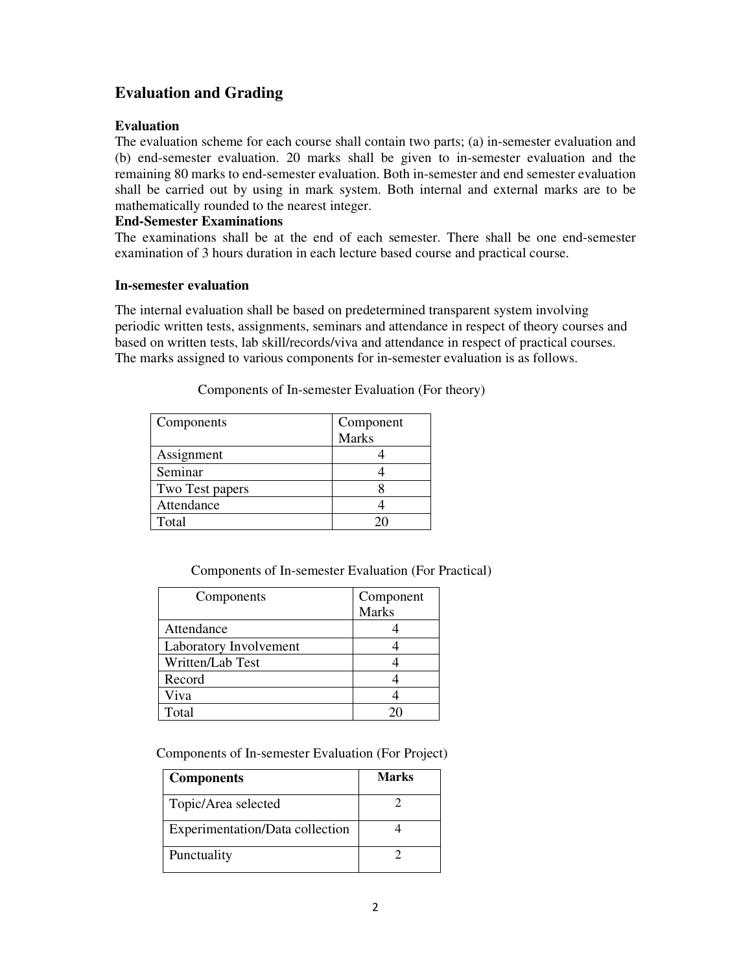# **Evaluation and Grading**

### **Evaluation**

The evaluation scheme for each course shall contain two parts; (a) in-semester evaluation and (b) end-semester evaluation. 20 marks shall be given to in-semester evaluation and the remaining 80 marks to end-semester evaluation. Both in-semester and end semester evaluation shall be carried out by using in mark system. Both internal and external marks are to be mathematically rounded to the nearest integer.

# **End-Semester Examinations**

The examinations shall be at the end of each semester. There shall be one end-semester examination of 3 hours duration in each lecture based course and practical course.

### **In-semester evaluation**

The internal evaluation shall be based on predetermined transparent system involving periodic written tests, assignments, seminars and attendance in respect of theory courses and based on written tests, lab skill/records/viva and attendance in respect of practical courses. The marks assigned to various components for in-semester evaluation is as follows.

| Components      | Component    |  |
|-----------------|--------------|--|
|                 | <b>Marks</b> |  |
| Assignment      |              |  |
| Seminar         |              |  |
| Two Test papers |              |  |
| Attendance      |              |  |
| Total           |              |  |

Components of In-semester Evaluation (For theory)

| Components             | Component    |
|------------------------|--------------|
|                        | <b>Marks</b> |
| Attendance             |              |
| Laboratory Involvement |              |
| Written/Lab Test       |              |
| Record                 |              |
| Viva                   |              |
| Total                  |              |

Components of In-semester Evaluation (For Project)

| <b>Components</b>               | <b>Marks</b> |
|---------------------------------|--------------|
| Topic/Area selected             |              |
| Experimentation/Data collection |              |
| Punctuality                     |              |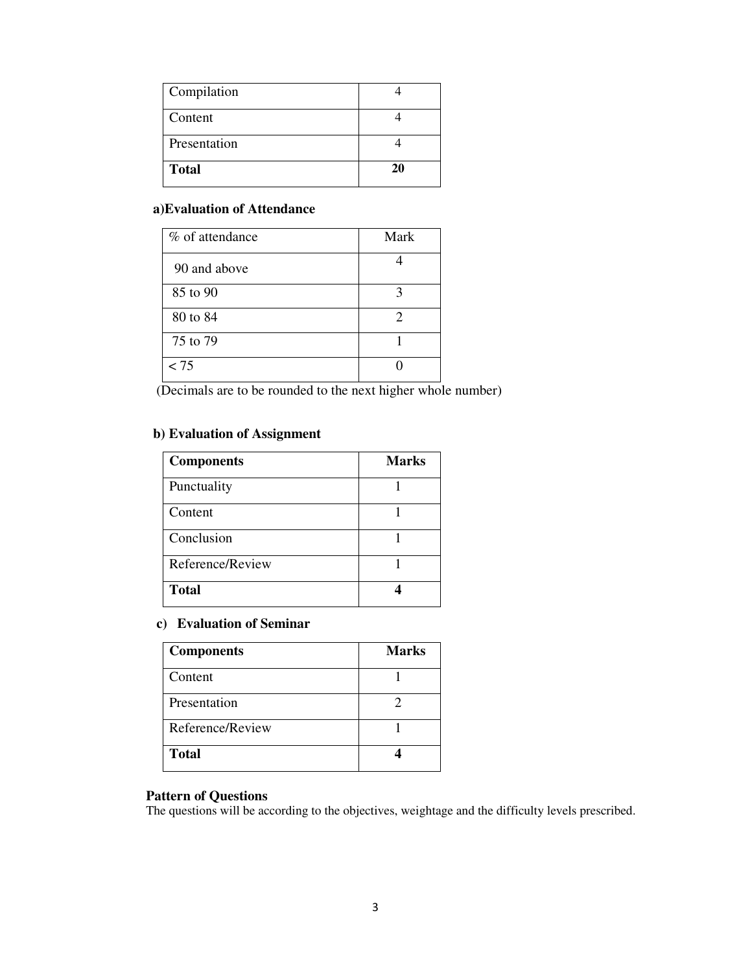| Compilation  |    |
|--------------|----|
| Content      |    |
| Presentation |    |
| <b>Total</b> | 20 |

#### **a)Evaluation of Attendance**

| % of attendance | Mark |
|-----------------|------|
| 90 and above    |      |
| 85 to 90        | 3    |
| 80 to 84        | 2    |
| 75 to 79        |      |
| < 75            |      |

(Decimals are to be rounded to the next higher whole number)

# **b) Evaluation of Assignment**

| <b>Components</b> | <b>Marks</b> |
|-------------------|--------------|
| Punctuality       |              |
| Content           |              |
| Conclusion        |              |
| Reference/Review  |              |
| <b>Total</b>      |              |

### **c) Evaluation of Seminar**

| <b>Components</b> | <b>Marks</b> |
|-------------------|--------------|
| Content           |              |
| Presentation      |              |
| Reference/Review  |              |
| <b>Total</b>      |              |

### **Pattern of Questions**

The questions will be according to the objectives, weightage and the difficulty levels prescribed.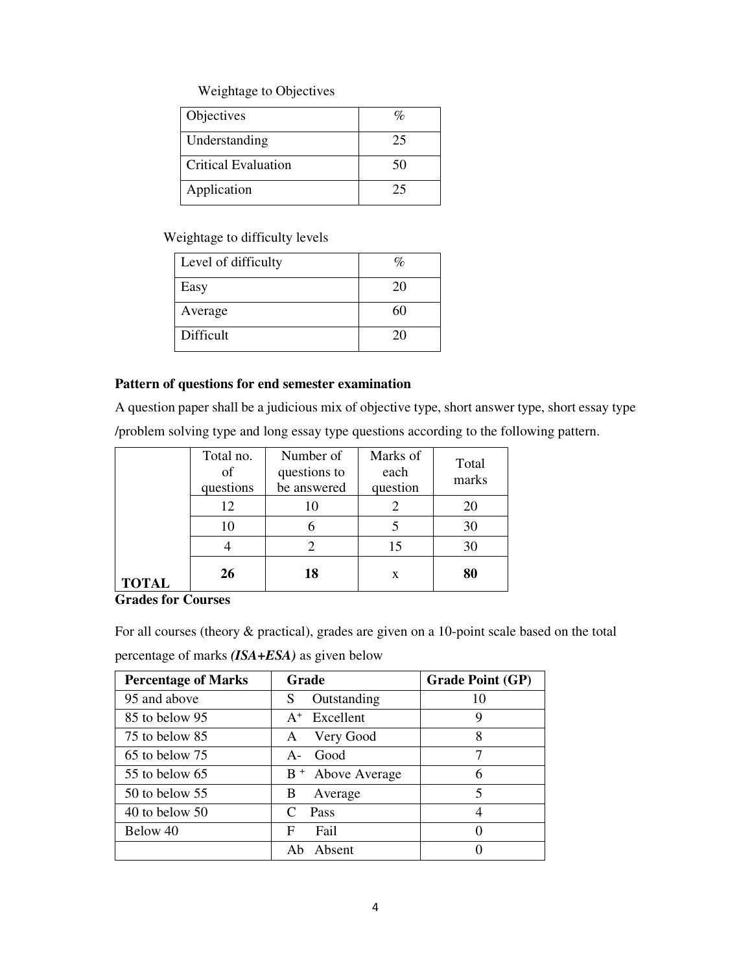# Weightage to Objectives

| Objectives                 |    |
|----------------------------|----|
| Understanding              | 25 |
| <b>Critical Evaluation</b> | 50 |
| Application                | 25 |

# Weightage to difficulty levels

| Level of difficulty | $\%$ |
|---------------------|------|
| Easy                | 20   |
| Average             | 60   |
| Difficult           | 20   |

#### **Pattern of questions for end semester examination**

A question paper shall be a judicious mix of objective type, short answer type, short essay type /problem solving type and long essay type questions according to the following pattern.

|              | Total no.<br>of<br>questions | Number of<br>questions to<br>be answered | Marks of<br>each<br>question | Total<br>marks |
|--------------|------------------------------|------------------------------------------|------------------------------|----------------|
|              | 12                           |                                          |                              |                |
|              | 10                           |                                          |                              | 30             |
|              |                              |                                          | 15                           | 30             |
| <b>TOTAL</b> | 26                           | 18                                       | X                            | 80             |

# **Grades for Courses**

For all courses (theory & practical), grades are given on a 10-point scale based on the total

percentage of marks *(ISA+ESA)* as given below

| <b>Percentage of Marks</b> | Grade                        | <b>Grade Point (GP)</b> |
|----------------------------|------------------------------|-------------------------|
| 95 and above               | Outstanding<br>S             | 10                      |
| 85 to below 95             | $A^+$ Excellent              | 9                       |
| 75 to below 85             | Very Good<br>A               | 8                       |
| 65 to below 75             | Good<br>$A -$                | 7                       |
| $55$ to below 65           | B <sup>+</sup> Above Average | 6                       |
| $50$ to below $55$         | Average<br>B                 | 5                       |
| $40$ to below $50$         | Pass<br>$\mathcal{C}$        | 4                       |
| Below 40                   | Fail<br>F                    | $\left($                |
|                            | Absent<br>Ah                 |                         |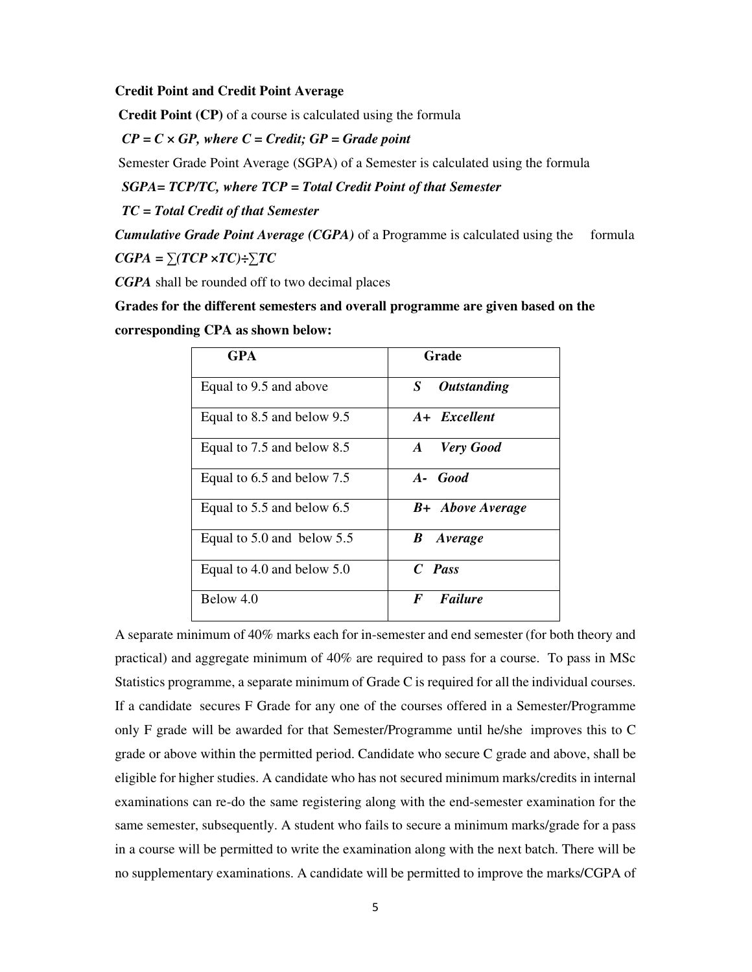**Credit Point and Credit Point Average** 

 **Credit Point (CP)** of a course is calculated using the formula

*CP = C × GP, where C = Credit; GP = Grade point*

Semester Grade Point Average (SGPA) of a Semester is calculated using the formula

 *SGPA= TCP/TC, where TCP = Total Credit Point of that Semester* 

 *TC = Total Credit of that Semester* 

*Cumulative Grade Point Average (CGPA)* of a Programme is calculated using the formula *CGPA = ∑(TCP ×TC)÷∑TC* 

*CGPA* shall be rounded off to two decimal places

**Grades for the different semesters and overall programme are given based on the** 

**corresponding CPA as shown below:** 

| <b>GPA</b>                     | Grade                          |  |  |
|--------------------------------|--------------------------------|--|--|
| Equal to 9.5 and above         | S<br><i><b>Outstanding</b></i> |  |  |
| Equal to 8.5 and below 9.5     | A+ Excellent                   |  |  |
| Equal to 7.5 and below 8.5     | <b>Very Good</b><br>$\bm{A}$   |  |  |
| Equal to 6.5 and below 7.5     | A- Good                        |  |  |
| Equal to 5.5 and below 6.5     | <b>B</b> + Above Average       |  |  |
| Equal to $5.0$ and below $5.5$ | $\bm{B}$<br>Average            |  |  |
| Equal to 4.0 and below 5.0     | $C$ Pass                       |  |  |
| Below 4.0                      | Failure<br>F                   |  |  |

A separate minimum of 40% marks each for in-semester and end semester (for both theory and practical) and aggregate minimum of 40% are required to pass for a course. To pass in MSc Statistics programme, a separate minimum of Grade C is required for all the individual courses. If a candidate secures F Grade for any one of the courses offered in a Semester/Programme only F grade will be awarded for that Semester/Programme until he/she improves this to C grade or above within the permitted period. Candidate who secure C grade and above, shall be eligible for higher studies. A candidate who has not secured minimum marks/credits in internal examinations can re-do the same registering along with the end-semester examination for the same semester, subsequently. A student who fails to secure a minimum marks/grade for a pass in a course will be permitted to write the examination along with the next batch. There will be no supplementary examinations. A candidate will be permitted to improve the marks/CGPA of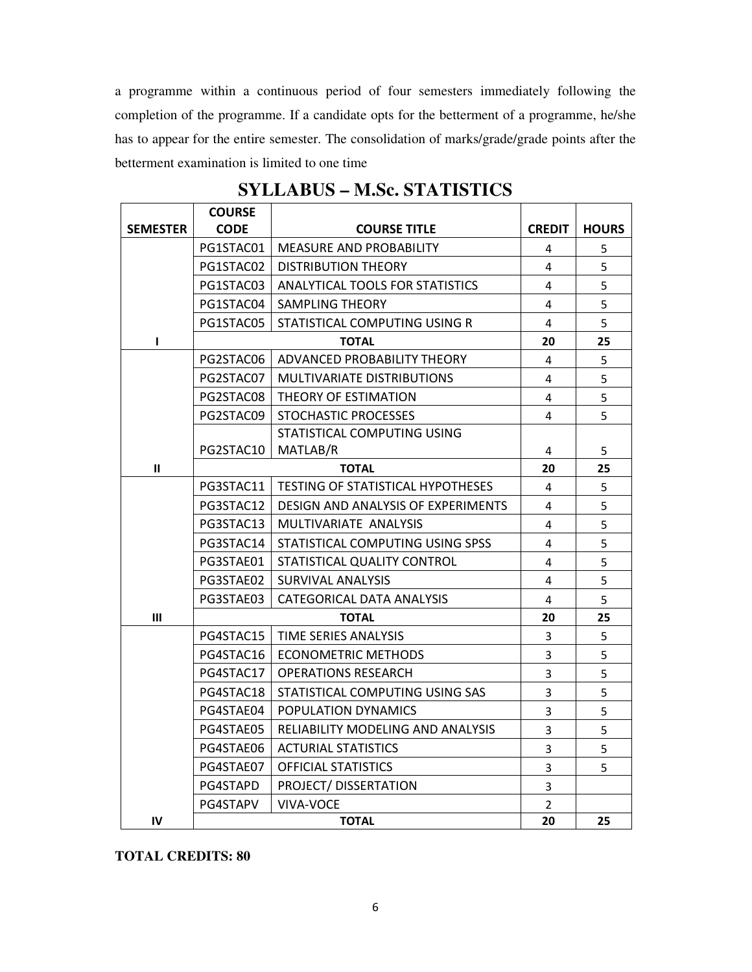a programme within a continuous period of four semesters immediately following the completion of the programme. If a candidate opts for the betterment of a programme, he/she has to appear for the entire semester. The consolidation of marks/grade/grade points after the betterment examination is limited to one time

| SYLLABUS – M.Sc. STATISTICS |               |                                          |                |              |
|-----------------------------|---------------|------------------------------------------|----------------|--------------|
|                             | <b>COURSE</b> |                                          |                |              |
| <b>SEMESTER</b>             | <b>CODE</b>   | <b>COURSE TITLE</b>                      | <b>CREDIT</b>  | <b>HOURS</b> |
|                             | PG1STAC01     | <b>MEASURE AND PROBABILITY</b>           | 4              | 5            |
|                             | PG1STAC02     | <b>DISTRIBUTION THEORY</b>               | 4              | 5            |
|                             | PG1STAC03     | ANALYTICAL TOOLS FOR STATISTICS          | 4              | 5            |
|                             | PG1STAC04     | <b>SAMPLING THEORY</b>                   | 4              | 5            |
|                             | PG1STAC05     | STATISTICAL COMPUTING USING R            | 4              | 5            |
| ı                           | <b>TOTAL</b>  |                                          | 20             | 25           |
|                             | PG2STAC06     | ADVANCED PROBABILITY THEORY              | 4              | 5            |
|                             | PG2STAC07     | MULTIVARIATE DISTRIBUTIONS               | 4              | 5            |
|                             | PG2STAC08     | THEORY OF ESTIMATION                     | 4              | 5            |
|                             | PG2STAC09     | STOCHASTIC PROCESSES                     | 4              | 5            |
|                             |               | STATISTICAL COMPUTING USING              |                |              |
|                             | PG2STAC10     | MATLAB/R                                 | 4              | 5            |
| $\mathbf{II}$               |               | <b>TOTAL</b>                             |                | 25           |
|                             | PG3STAC11     | <b>TESTING OF STATISTICAL HYPOTHESES</b> | 4              | 5            |
|                             | PG3STAC12     | DESIGN AND ANALYSIS OF EXPERIMENTS       | 4              | 5            |
|                             | PG3STAC13     | MULTIVARIATE ANALYSIS                    | 4              | 5            |
|                             | PG3STAC14     | STATISTICAL COMPUTING USING SPSS         | 4              | 5            |
|                             | PG3STAE01     | STATISTICAL QUALITY CONTROL              | 4              | 5            |
|                             | PG3STAE02     | SURVIVAL ANALYSIS                        | 4              | 5            |
|                             | PG3STAE03     | CATEGORICAL DATA ANALYSIS                | 4              | 5            |
| Ш                           |               | <b>TOTAL</b>                             | 20             | 25           |
|                             | PG4STAC15     | TIME SERIES ANALYSIS                     | 3              | 5            |
|                             | PG4STAC16     | <b>ECONOMETRIC METHODS</b>               | 3              | 5            |
|                             | PG4STAC17     | <b>OPERATIONS RESEARCH</b>               | 3              | 5            |
|                             | PG4STAC18     | STATISTICAL COMPUTING USING SAS          | $\overline{3}$ | 5            |
|                             | PG4STAE04     | POPULATION DYNAMICS                      | 3              | 5            |
|                             | PG4STAE05     | RELIABILITY MODELING AND ANALYSIS        | 3              | 5            |
|                             | PG4STAE06     | <b>ACTURIAL STATISTICS</b>               | 3              | 5            |
|                             | PG4STAE07     | <b>OFFICIAL STATISTICS</b>               | 3              | 5            |
|                             | PG4STAPD      | PROJECT/DISSERTATION                     | 3              |              |
|                             | PG4STAPV      | <b>VIVA-VOCE</b>                         | $\overline{2}$ |              |
| IV                          | <b>TOTAL</b>  |                                          | 20             | 25           |

**SYLLABUS – M.Sc. STATISTICS** 

**TOTAL CREDITS: 80**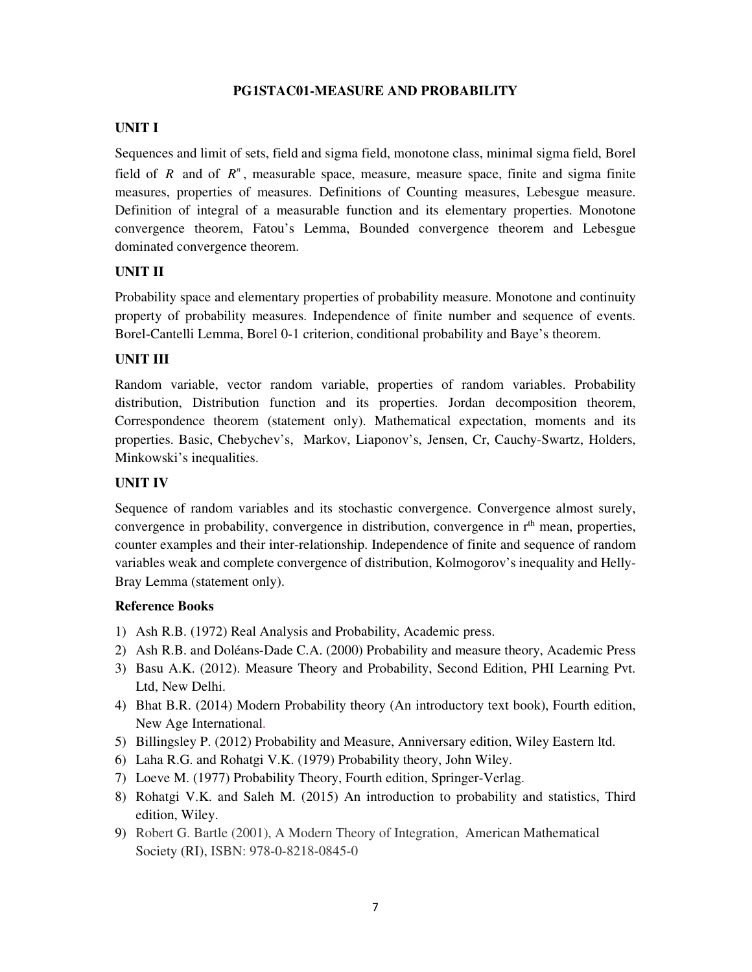### **PG1STAC01-MEASURE AND PROBABILITY**

# **UNIT I**

Sequences and limit of sets, field and sigma field, monotone class, minimal sigma field, Borel field of *R* and of  $R^n$ , measurable space, measure, measure space, finite and sigma finite measures, properties of measures. Definitions of Counting measures, Lebesgue measure. Definition of integral of a measurable function and its elementary properties. Monotone convergence theorem, Fatou's Lemma, Bounded convergence theorem and Lebesgue dominated convergence theorem.

# **UNIT II**

Probability space and elementary properties of probability measure. Monotone and continuity property of probability measures. Independence of finite number and sequence of events. Borel-Cantelli Lemma, Borel 0-1 criterion, conditional probability and Baye's theorem.

### **UNIT III**

Random variable, vector random variable, properties of random variables. Probability distribution, Distribution function and its properties. Jordan decomposition theorem, Correspondence theorem (statement only). Mathematical expectation, moments and its properties. Basic, Chebychev's, Markov, Liaponov's, Jensen, Cr, Cauchy-Swartz, Holders, Minkowski's inequalities.

### **UNIT IV**

Sequence of random variables and its stochastic convergence. Convergence almost surely, convergence in probability, convergence in distribution, convergence in  $r<sup>th</sup>$  mean, properties, counter examples and their inter-relationship. Independence of finite and sequence of random variables weak and complete convergence of distribution, Kolmogorov's inequality and Helly-Bray Lemma (statement only).

- 1) Ash R.B. (1972) Real Analysis and Probability, Academic press.
- 2) Ash R.B. and Doléans-Dade C.A. (2000) Probability and measure theory, Academic Press
- 3) Basu A.K. (2012). Measure Theory and Probability, Second Edition, PHI Learning Pvt. Ltd, New Delhi.
- 4) Bhat B.R. (2014) Modern Probability theory (An introductory text book), Fourth edition, New Age International.
- 5) Billingsley P. (2012) Probability and Measure, Anniversary edition, Wiley Eastern ltd.
- 6) Laha R.G. and Rohatgi V.K. (1979) Probability theory, John Wiley.
- 7) Loeve M. (1977) Probability Theory, Fourth edition, Springer-Verlag.
- 8) Rohatgi V.K. and Saleh M. (2015) An introduction to probability and statistics, Third edition, Wiley.
- 9) Robert G. Bartle (2001), A Modern Theory of Integration, American Mathematical Society (RI), ISBN: 978-0-8218-0845-0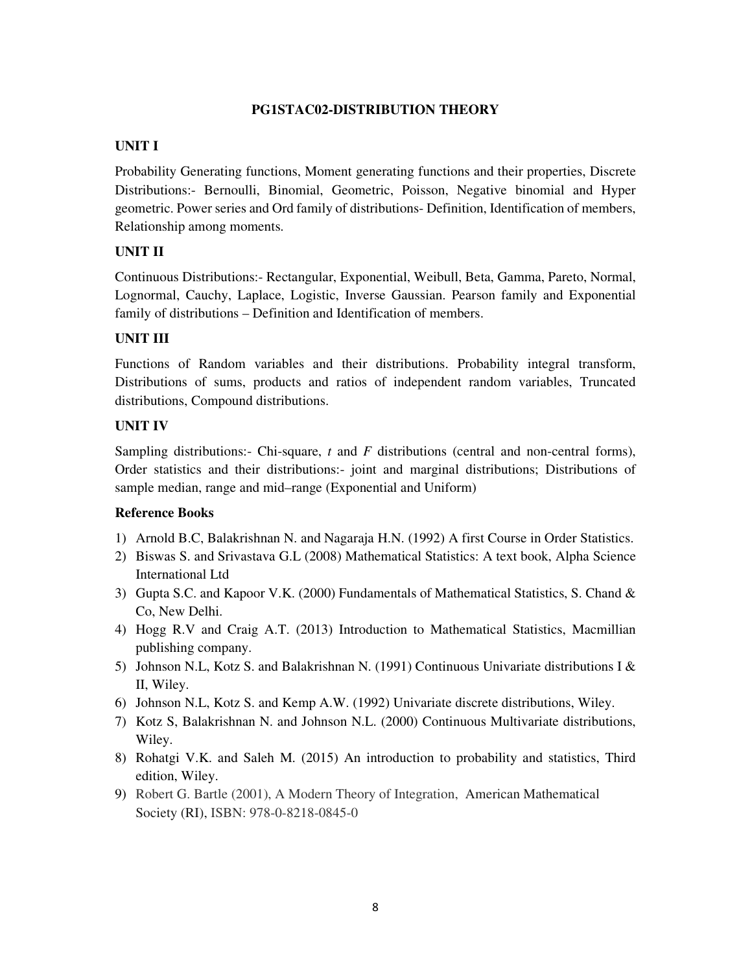#### **PG1STAC02-DISTRIBUTION THEORY**

### **UNIT I**

Probability Generating functions, Moment generating functions and their properties, Discrete Distributions:- Bernoulli, Binomial, Geometric, Poisson, Negative binomial and Hyper geometric. Power series and Ord family of distributions- Definition, Identification of members, Relationship among moments.

# **UNIT II**

Continuous Distributions:- Rectangular, Exponential, Weibull, Beta, Gamma, Pareto, Normal, Lognormal, Cauchy, Laplace, Logistic, Inverse Gaussian. Pearson family and Exponential family of distributions – Definition and Identification of members.

# **UNIT III**

Functions of Random variables and their distributions. Probability integral transform, Distributions of sums, products and ratios of independent random variables, Truncated distributions, Compound distributions.

# **UNIT IV**

Sampling distributions:- Chi-square, *t* and *F* distributions (central and non-central forms), Order statistics and their distributions:- joint and marginal distributions; Distributions of sample median, range and mid–range (Exponential and Uniform)

- 1) Arnold B.C, Balakrishnan N. and Nagaraja H.N. (1992) A first Course in Order Statistics.
- 2) Biswas S. and Srivastava G.L (2008) Mathematical Statistics: A text book, Alpha Science International Ltd
- 3) Gupta S.C. and Kapoor V.K. (2000) Fundamentals of Mathematical Statistics, S. Chand & Co, New Delhi.
- 4) Hogg R.V and Craig A.T. (2013) Introduction to Mathematical Statistics, Macmillian publishing company.
- 5) Johnson N.L, Kotz S. and Balakrishnan N. (1991) Continuous Univariate distributions I & II, Wiley.
- 6) Johnson N.L, Kotz S. and Kemp A.W. (1992) Univariate discrete distributions, Wiley.
- 7) Kotz S, Balakrishnan N. and Johnson N.L. (2000) Continuous Multivariate distributions, Wiley.
- 8) Rohatgi V.K. and Saleh M. (2015) An introduction to probability and statistics, Third edition, Wiley.
- 9) Robert G. Bartle (2001), A Modern Theory of Integration, American Mathematical Society (RI), ISBN: 978-0-8218-0845-0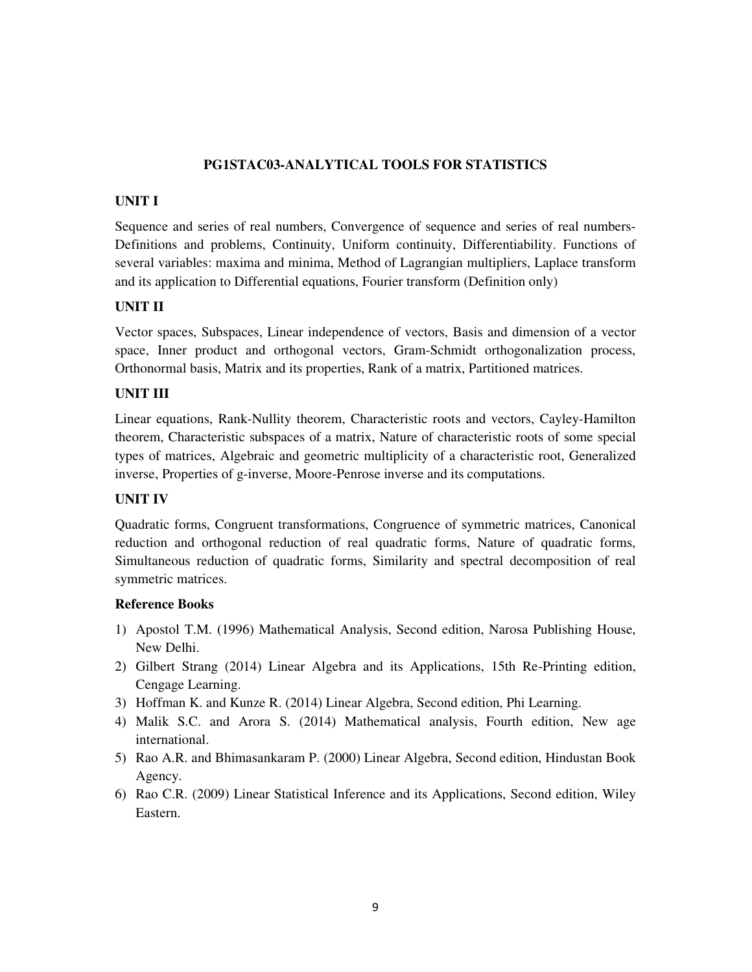### **PG1STAC03-ANALYTICAL TOOLS FOR STATISTICS**

#### **UNIT I**

Sequence and series of real numbers, Convergence of sequence and series of real numbers-Definitions and problems, Continuity, Uniform continuity, Differentiability. Functions of several variables: maxima and minima, Method of Lagrangian multipliers, Laplace transform and its application to Differential equations, Fourier transform (Definition only)

### **UNIT II**

Vector spaces, Subspaces, Linear independence of vectors, Basis and dimension of a vector space, Inner product and orthogonal vectors, Gram-Schmidt orthogonalization process, Orthonormal basis, Matrix and its properties, Rank of a matrix, Partitioned matrices.

#### **UNIT III**

Linear equations, Rank-Nullity theorem, Characteristic roots and vectors, Cayley-Hamilton theorem, Characteristic subspaces of a matrix, Nature of characteristic roots of some special types of matrices, Algebraic and geometric multiplicity of a characteristic root, Generalized inverse, Properties of g-inverse, Moore-Penrose inverse and its computations.

#### **UNIT IV**

Quadratic forms, Congruent transformations, Congruence of symmetric matrices, Canonical reduction and orthogonal reduction of real quadratic forms, Nature of quadratic forms, Simultaneous reduction of quadratic forms, Similarity and spectral decomposition of real symmetric matrices.

- 1) Apostol T.M. (1996) Mathematical Analysis, Second edition, Narosa Publishing House, New Delhi.
- 2) Gilbert Strang (2014) Linear Algebra and its Applications, 15th Re-Printing edition, Cengage Learning.
- 3) Hoffman K. and Kunze R. (2014) Linear Algebra, Second edition, Phi Learning.
- 4) Malik S.C. and Arora S. (2014) Mathematical analysis, Fourth edition, New age international.
- 5) Rao A.R. and Bhimasankaram P. (2000) Linear Algebra, Second edition, Hindustan Book Agency.
- 6) Rao C.R. (2009) Linear Statistical Inference and its Applications, Second edition, Wiley Eastern.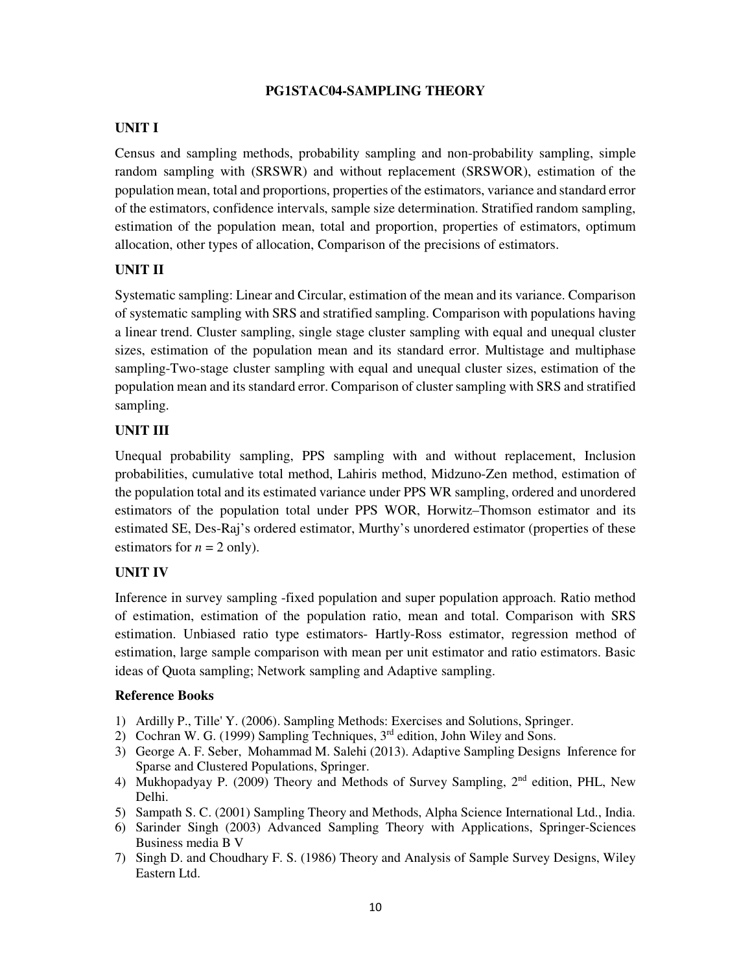### **PG1STAC04-SAMPLING THEORY**

# **UNIT I**

Census and sampling methods, probability sampling and non-probability sampling, simple random sampling with (SRSWR) and without replacement (SRSWOR), estimation of the population mean, total and proportions, properties of the estimators, variance and standard error of the estimators, confidence intervals, sample size determination. Stratified random sampling, estimation of the population mean, total and proportion, properties of estimators, optimum allocation, other types of allocation, Comparison of the precisions of estimators.

### **UNIT II**

Systematic sampling: Linear and Circular, estimation of the mean and its variance. Comparison of systematic sampling with SRS and stratified sampling. Comparison with populations having a linear trend. Cluster sampling, single stage cluster sampling with equal and unequal cluster sizes, estimation of the population mean and its standard error. Multistage and multiphase sampling-Two-stage cluster sampling with equal and unequal cluster sizes, estimation of the population mean and its standard error. Comparison of cluster sampling with SRS and stratified sampling.

#### **UNIT III**

Unequal probability sampling, PPS sampling with and without replacement, Inclusion probabilities, cumulative total method, Lahiris method, Midzuno-Zen method, estimation of the population total and its estimated variance under PPS WR sampling, ordered and unordered estimators of the population total under PPS WOR, Horwitz–Thomson estimator and its estimated SE, Des-Raj's ordered estimator, Murthy's unordered estimator (properties of these estimators for  $n = 2$  only).

#### **UNIT IV**

Inference in survey sampling -fixed population and super population approach. Ratio method of estimation, estimation of the population ratio, mean and total. Comparison with SRS estimation. Unbiased ratio type estimators- Hartly-Ross estimator, regression method of estimation, large sample comparison with mean per unit estimator and ratio estimators. Basic ideas of Quota sampling; Network sampling and Adaptive sampling.

- 1) Ardilly P., Tille' Y. (2006). Sampling Methods: Exercises and Solutions, Springer.
- 2) Cochran W. G. (1999) Sampling Techniques,  $3<sup>rd</sup>$  edition, John Wiley and Sons.
- 3) George A. F. Seber, Mohammad M. Salehi (2013). Adaptive Sampling Designs Inference for Sparse and Clustered Populations, Springer.
- 4) Mukhopadyay P. (2009) Theory and Methods of Survey Sampling, 2nd edition, PHL, New Delhi.
- 5) Sampath S. C. (2001) Sampling Theory and Methods, Alpha Science International Ltd., India.
- 6) Sarinder Singh (2003) Advanced Sampling Theory with Applications, Springer-Sciences Business media B V
- 7) Singh D. and Choudhary F. S. (1986) Theory and Analysis of Sample Survey Designs, Wiley Eastern Ltd.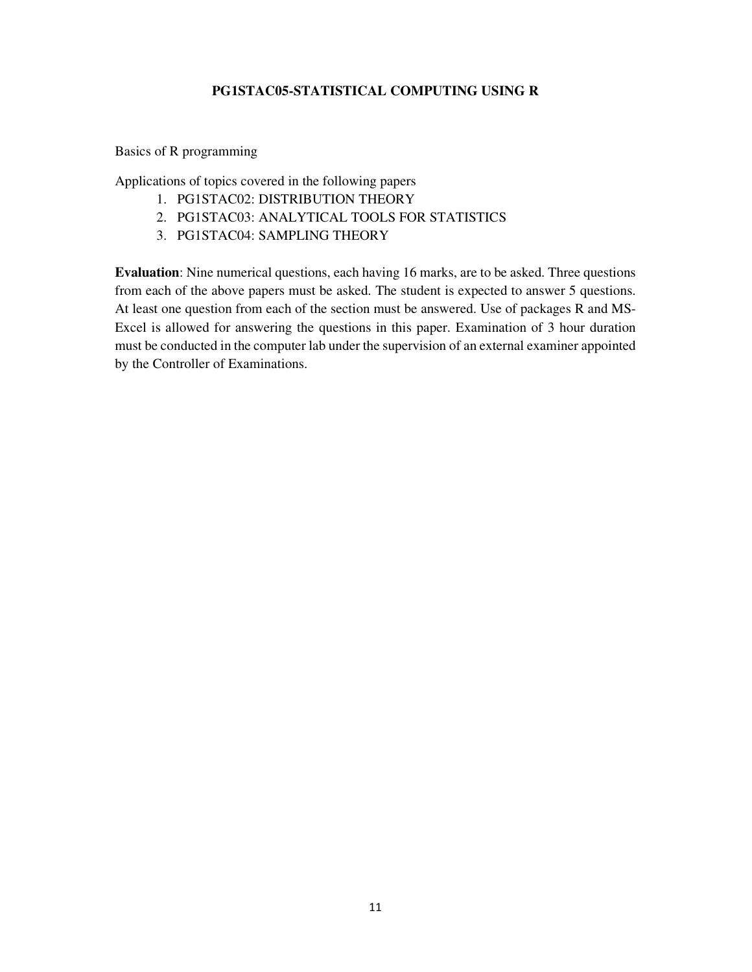# **PG1STAC05-STATISTICAL COMPUTING USING R**

#### Basics of R programming

Applications of topics covered in the following papers

- 1. PG1STAC02: DISTRIBUTION THEORY
- 2. PG1STAC03: ANALYTICAL TOOLS FOR STATISTICS
- 3. PG1STAC04: SAMPLING THEORY

**Evaluation**: Nine numerical questions, each having 16 marks, are to be asked. Three questions from each of the above papers must be asked. The student is expected to answer 5 questions. At least one question from each of the section must be answered. Use of packages R and MS-Excel is allowed for answering the questions in this paper. Examination of 3 hour duration must be conducted in the computer lab under the supervision of an external examiner appointed by the Controller of Examinations.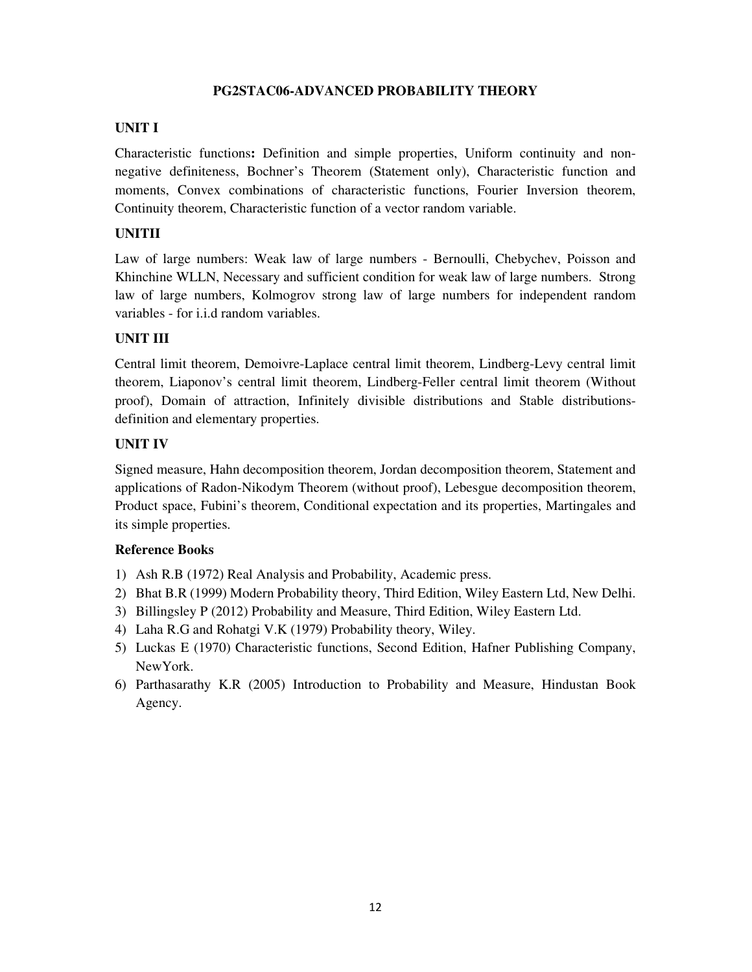# **PG2STAC06-ADVANCED PROBABILITY THEORY**

# **UNIT I**

Characteristic functions**:** Definition and simple properties, Uniform continuity and nonnegative definiteness, Bochner's Theorem (Statement only), Characteristic function and moments, Convex combinations of characteristic functions, Fourier Inversion theorem, Continuity theorem, Characteristic function of a vector random variable.

# **UNITII**

Law of large numbers: Weak law of large numbers - Bernoulli, Chebychev, Poisson and Khinchine WLLN, Necessary and sufficient condition for weak law of large numbers. Strong law of large numbers, Kolmogrov strong law of large numbers for independent random variables - for i.i.d random variables.

# **UNIT III**

Central limit theorem, Demoivre-Laplace central limit theorem, Lindberg-Levy central limit theorem, Liaponov's central limit theorem, Lindberg-Feller central limit theorem (Without proof), Domain of attraction, Infinitely divisible distributions and Stable distributionsdefinition and elementary properties.

# **UNIT IV**

Signed measure, Hahn decomposition theorem, Jordan decomposition theorem, Statement and applications of Radon-Nikodym Theorem (without proof), Lebesgue decomposition theorem, Product space, Fubini's theorem, Conditional expectation and its properties, Martingales and its simple properties.

- 1) Ash R.B (1972) Real Analysis and Probability, Academic press.
- 2) Bhat B.R (1999) Modern Probability theory, Third Edition, Wiley Eastern Ltd, New Delhi.
- 3) Billingsley P (2012) Probability and Measure, Third Edition, Wiley Eastern Ltd.
- 4) Laha R.G and Rohatgi V.K (1979) Probability theory, Wiley.
- 5) Luckas E (1970) Characteristic functions, Second Edition, Hafner Publishing Company, NewYork.
- 6) Parthasarathy K.R (2005) Introduction to Probability and Measure, Hindustan Book Agency.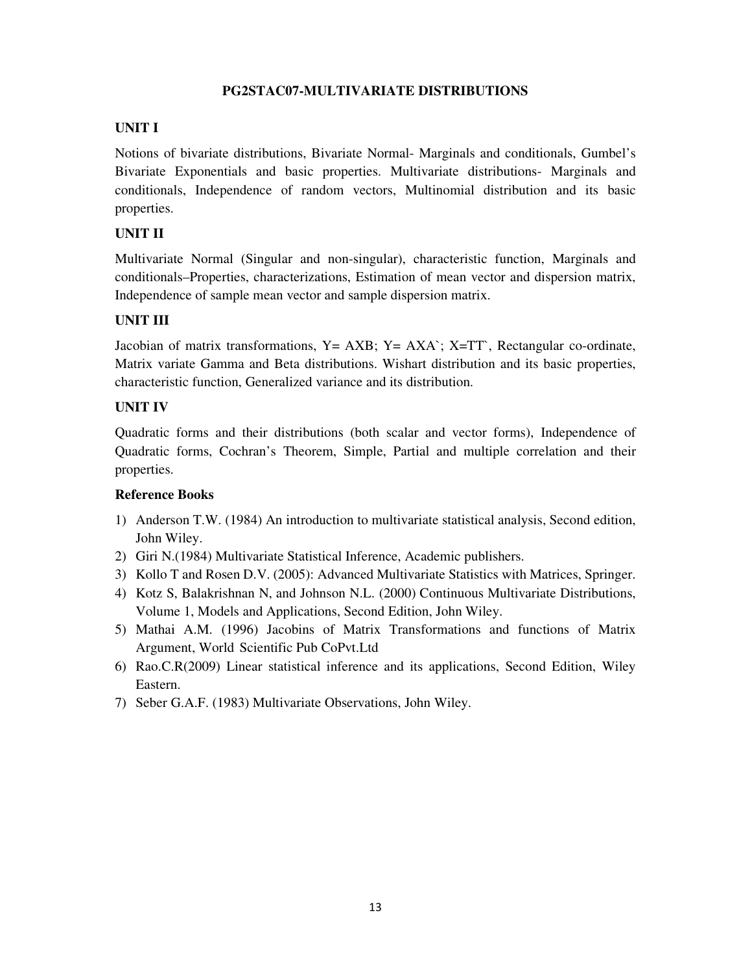### **PG2STAC07-MULTIVARIATE DISTRIBUTIONS**

### **UNIT I**

Notions of bivariate distributions, Bivariate Normal- Marginals and conditionals, Gumbel's Bivariate Exponentials and basic properties. Multivariate distributions- Marginals and conditionals, Independence of random vectors, Multinomial distribution and its basic properties.

# **UNIT II**

Multivariate Normal (Singular and non-singular), characteristic function, Marginals and conditionals–Properties, characterizations, Estimation of mean vector and dispersion matrix, Independence of sample mean vector and sample dispersion matrix.

### **UNIT III**

Jacobian of matrix transformations,  $Y = AXB$ ;  $Y = AXA$ ;  $X = TT$ , Rectangular co-ordinate, Matrix variate Gamma and Beta distributions. Wishart distribution and its basic properties, characteristic function, Generalized variance and its distribution.

### **UNIT IV**

Quadratic forms and their distributions (both scalar and vector forms), Independence of Quadratic forms, Cochran's Theorem, Simple, Partial and multiple correlation and their properties.

- 1) Anderson T.W. (1984) An introduction to multivariate statistical analysis, Second edition, John Wiley.
- 2) Giri N.(1984) Multivariate Statistical Inference, Academic publishers.
- 3) Kollo T and Rosen D.V. (2005): Advanced Multivariate Statistics with Matrices, Springer.
- 4) Kotz S, Balakrishnan N, and Johnson N.L. (2000) Continuous Multivariate Distributions, Volume 1, Models and Applications, Second Edition, John Wiley.
- 5) Mathai A.M. (1996) Jacobins of Matrix Transformations and functions of Matrix Argument, World Scientific Pub CoPvt.Ltd
- 6) Rao.C.R(2009) Linear statistical inference and its applications, Second Edition, Wiley Eastern.
- 7) Seber G.A.F. (1983) Multivariate Observations, John Wiley.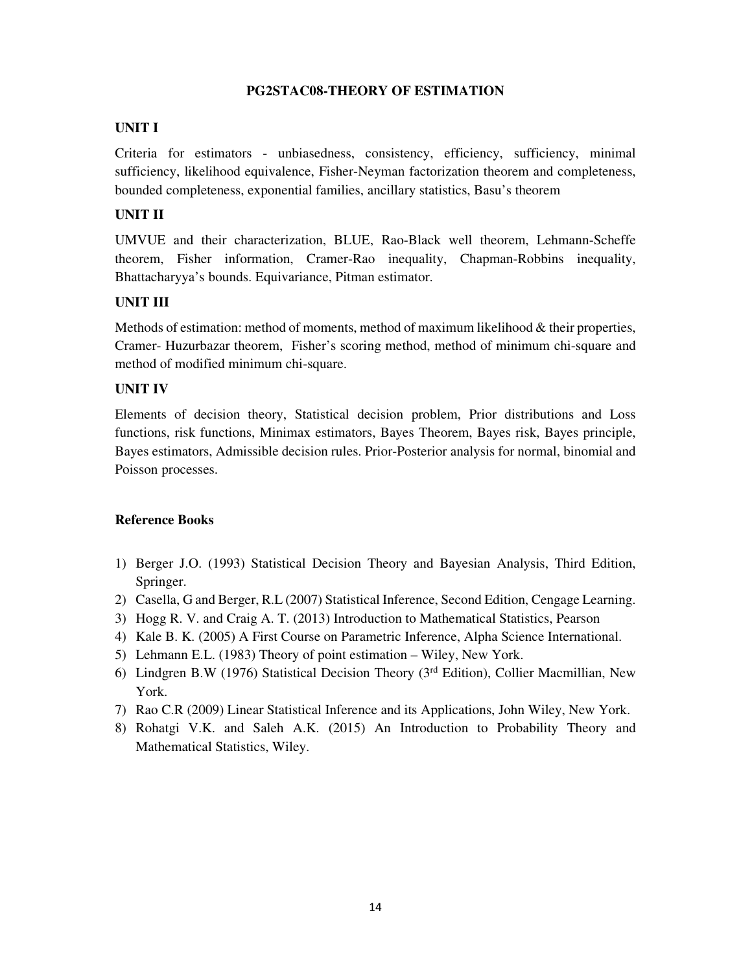# **PG2STAC08-THEORY OF ESTIMATION**

### **UNIT I**

Criteria for estimators - unbiasedness, consistency, efficiency, sufficiency, minimal sufficiency, likelihood equivalence, Fisher-Neyman factorization theorem and completeness, bounded completeness, exponential families, ancillary statistics, Basu's theorem

# **UNIT II**

UMVUE and their characterization, BLUE, Rao-Black well theorem, Lehmann-Scheffe theorem, Fisher information, Cramer-Rao inequality, Chapman-Robbins inequality, Bhattacharyya's bounds. Equivariance, Pitman estimator.

# **UNIT III**

Methods of estimation: method of moments, method of maximum likelihood  $&$  their properties, Cramer- Huzurbazar theorem, Fisher's scoring method, method of minimum chi-square and method of modified minimum chi-square.

### **UNIT IV**

Elements of decision theory, Statistical decision problem, Prior distributions and Loss functions, risk functions, Minimax estimators, Bayes Theorem, Bayes risk, Bayes principle, Bayes estimators, Admissible decision rules. Prior-Posterior analysis for normal, binomial and Poisson processes.

- 1) Berger J.O. (1993) Statistical Decision Theory and Bayesian Analysis, Third Edition, Springer.
- 2) Casella, G and Berger, R.L (2007) Statistical Inference, Second Edition, Cengage Learning.
- 3) Hogg R. V. and Craig A. T. (2013) Introduction to Mathematical Statistics, Pearson
- 4) Kale B. K. (2005) A First Course on Parametric Inference, Alpha Science International.
- 5) Lehmann E.L. (1983) Theory of point estimation Wiley, New York.
- 6) Lindgren B.W (1976) Statistical Decision Theory (3rd Edition), Collier Macmillian, New York.
- 7) Rao C.R (2009) Linear Statistical Inference and its Applications, John Wiley, New York.
- 8) Rohatgi V.K. and Saleh A.K. (2015) An Introduction to Probability Theory and Mathematical Statistics, Wiley.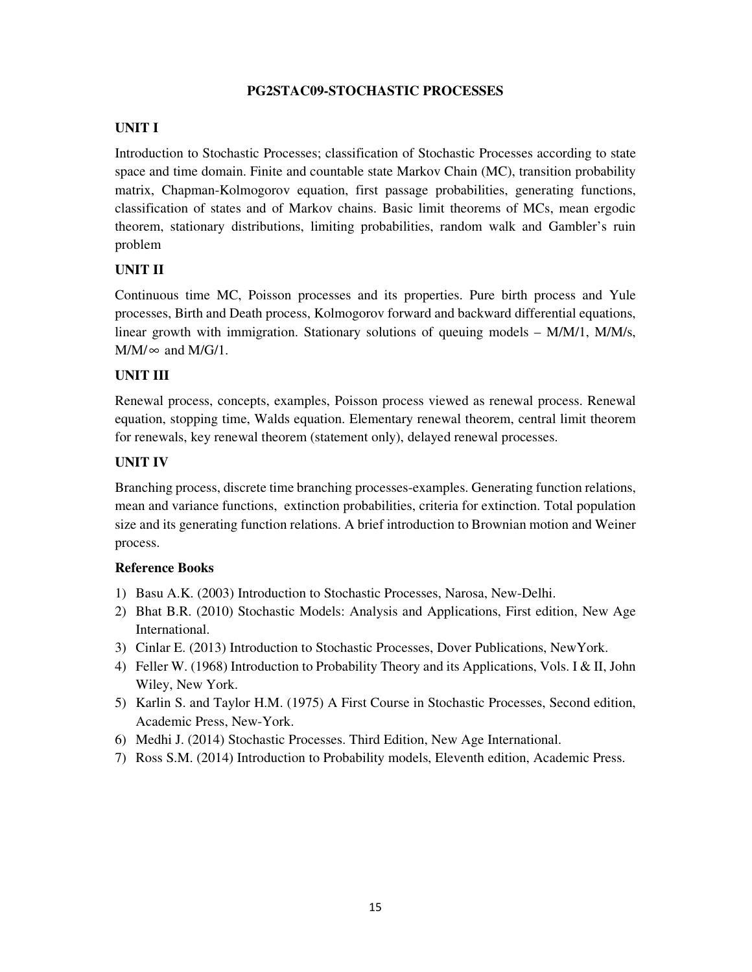# **PG2STAC09-STOCHASTIC PROCESSES**

# **UNIT I**

Introduction to Stochastic Processes; classification of Stochastic Processes according to state space and time domain. Finite and countable state Markov Chain (MC), transition probability matrix, Chapman-Kolmogorov equation, first passage probabilities, generating functions, classification of states and of Markov chains. Basic limit theorems of MCs, mean ergodic theorem, stationary distributions, limiting probabilities, random walk and Gambler's ruin problem

# **UNIT II**

Continuous time MC, Poisson processes and its properties. Pure birth process and Yule processes, Birth and Death process, Kolmogorov forward and backward differential equations, linear growth with immigration. Stationary solutions of queuing models – M/M/1, M/M/s,  $M/M/\infty$  and  $M/G/1$ .

# **UNIT III**

Renewal process, concepts, examples, Poisson process viewed as renewal process. Renewal equation, stopping time, Walds equation. Elementary renewal theorem, central limit theorem for renewals, key renewal theorem (statement only), delayed renewal processes.

# **UNIT IV**

Branching process, discrete time branching processes-examples. Generating function relations, mean and variance functions, extinction probabilities, criteria for extinction. Total population size and its generating function relations. A brief introduction to Brownian motion and Weiner process.

- 1) Basu A.K. (2003) Introduction to Stochastic Processes, Narosa, New-Delhi.
- 2) Bhat B.R. (2010) Stochastic Models: Analysis and Applications, First edition, New Age International.
- 3) Cinlar E. (2013) Introduction to Stochastic Processes, Dover Publications, NewYork.
- 4) Feller W. (1968) Introduction to Probability Theory and its Applications, Vols. I & II, John Wiley, New York.
- 5) Karlin S. and Taylor H.M. (1975) A First Course in Stochastic Processes, Second edition, Academic Press, New-York.
- 6) Medhi J. (2014) Stochastic Processes. Third Edition, New Age International.
- 7) Ross S.M. (2014) Introduction to Probability models, Eleventh edition, Academic Press.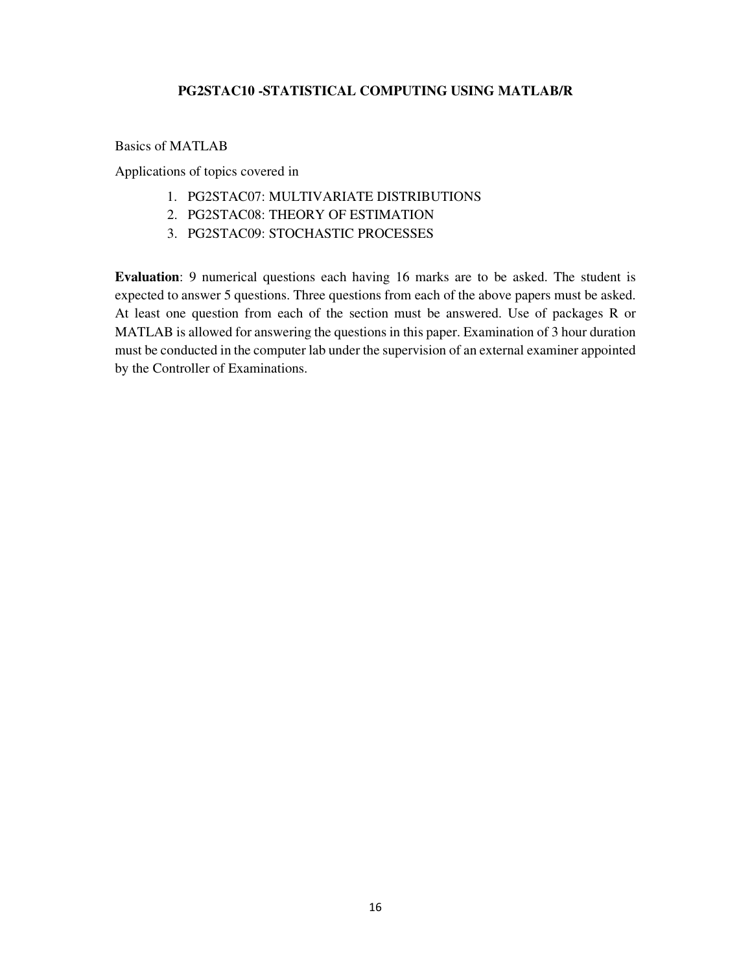# **PG2STAC10 -STATISTICAL COMPUTING USING MATLAB/R**

Basics of MATLAB

Applications of topics covered in

- 1. PG2STAC07: MULTIVARIATE DISTRIBUTIONS
- 2. PG2STAC08: THEORY OF ESTIMATION
- 3. PG2STAC09: STOCHASTIC PROCESSES

**Evaluation**: 9 numerical questions each having 16 marks are to be asked. The student is expected to answer 5 questions. Three questions from each of the above papers must be asked. At least one question from each of the section must be answered. Use of packages R or MATLAB is allowed for answering the questions in this paper. Examination of 3 hour duration must be conducted in the computer lab under the supervision of an external examiner appointed by the Controller of Examinations.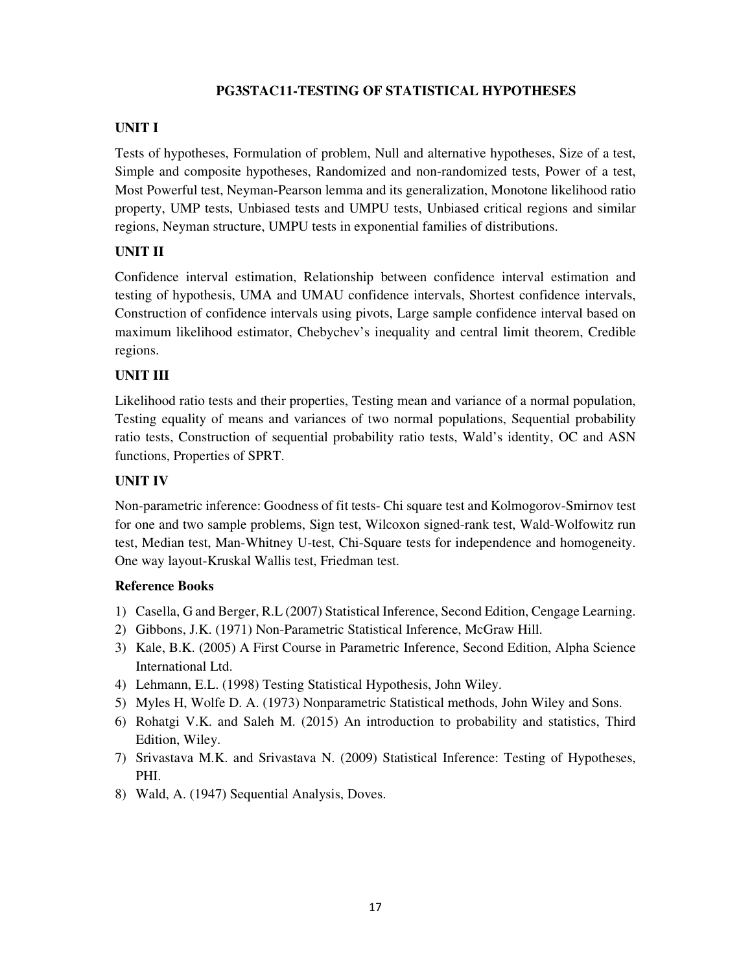# **PG3STAC11-TESTING OF STATISTICAL HYPOTHESES**

# **UNIT I**

Tests of hypotheses, Formulation of problem, Null and alternative hypotheses, Size of a test, Simple and composite hypotheses, Randomized and non-randomized tests, Power of a test, Most Powerful test, Neyman-Pearson lemma and its generalization, Monotone likelihood ratio property, UMP tests, Unbiased tests and UMPU tests, Unbiased critical regions and similar regions, Neyman structure, UMPU tests in exponential families of distributions.

# **UNIT II**

Confidence interval estimation, Relationship between confidence interval estimation and testing of hypothesis, UMA and UMAU confidence intervals, Shortest confidence intervals, Construction of confidence intervals using pivots, Large sample confidence interval based on maximum likelihood estimator, Chebychev's inequality and central limit theorem, Credible regions.

# **UNIT III**

Likelihood ratio tests and their properties, Testing mean and variance of a normal population, Testing equality of means and variances of two normal populations, Sequential probability ratio tests, Construction of sequential probability ratio tests, Wald's identity, OC and ASN functions, Properties of SPRT.

# **UNIT IV**

Non-parametric inference: Goodness of fit tests- Chi square test and Kolmogorov-Smirnov test for one and two sample problems, Sign test, Wilcoxon signed-rank test, Wald-Wolfowitz run test, Median test, Man-Whitney U-test, Chi-Square tests for independence and homogeneity. One way layout-Kruskal Wallis test, Friedman test.

- 1) Casella, G and Berger, R.L (2007) Statistical Inference, Second Edition, Cengage Learning.
- 2) Gibbons, J.K. (1971) Non-Parametric Statistical Inference, McGraw Hill.
- 3) Kale, B.K. (2005) A First Course in Parametric Inference, Second Edition, Alpha Science International Ltd.
- 4) Lehmann, E.L. (1998) Testing Statistical Hypothesis, John Wiley.
- 5) Myles H, Wolfe D. A. (1973) Nonparametric Statistical methods, John Wiley and Sons.
- 6) Rohatgi V.K. and Saleh M. (2015) An introduction to probability and statistics, Third Edition, Wiley.
- 7) Srivastava M.K. and Srivastava N. (2009) Statistical Inference: Testing of Hypotheses, PHI.
- 8) Wald, A. (1947) Sequential Analysis, Doves.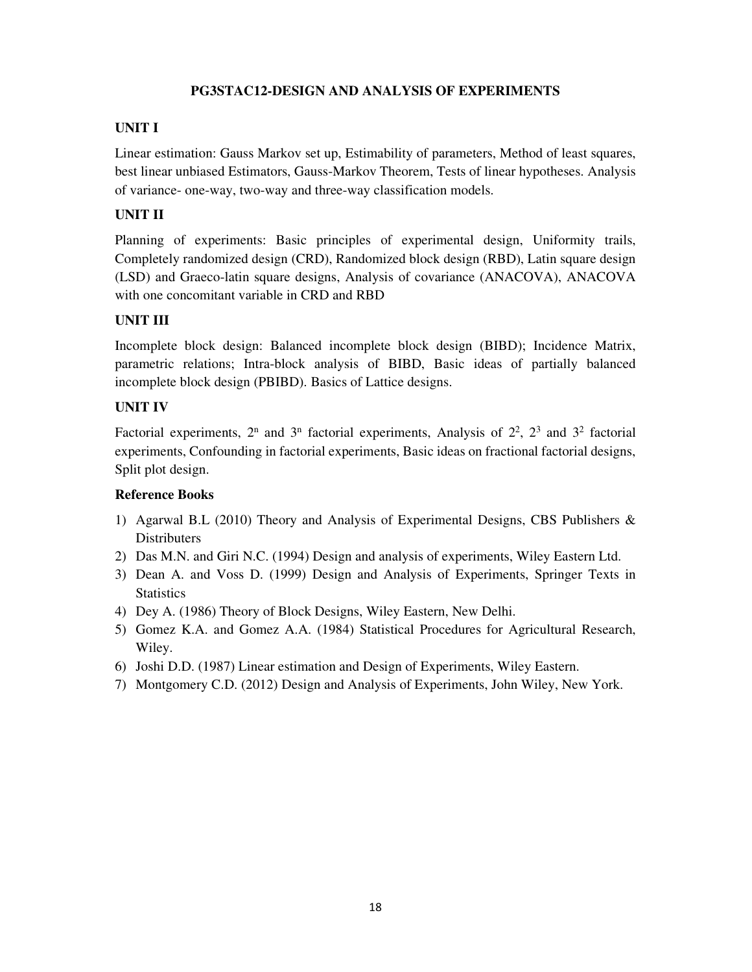# **PG3STAC12-DESIGN AND ANALYSIS OF EXPERIMENTS**

# **UNIT I**

Linear estimation: Gauss Markov set up, Estimability of parameters, Method of least squares, best linear unbiased Estimators, Gauss-Markov Theorem, Tests of linear hypotheses. Analysis of variance- one-way, two-way and three-way classification models.

# **UNIT II**

Planning of experiments: Basic principles of experimental design, Uniformity trails, Completely randomized design (CRD), Randomized block design (RBD), Latin square design (LSD) and Graeco-latin square designs, Analysis of covariance (ANACOVA), ANACOVA with one concomitant variable in CRD and RBD

# **UNIT III**

Incomplete block design: Balanced incomplete block design (BIBD); Incidence Matrix, parametric relations; Intra-block analysis of BIBD, Basic ideas of partially balanced incomplete block design (PBIBD). Basics of Lattice designs.

### **UNIT IV**

Factorial experiments,  $2^n$  and  $3^n$  factorial experiments, Analysis of  $2^2$ ,  $2^3$  and  $3^2$  factorial experiments, Confounding in factorial experiments, Basic ideas on fractional factorial designs, Split plot design.

- 1) Agarwal B.L (2010) Theory and Analysis of Experimental Designs, CBS Publishers & **Distributers**
- 2) Das M.N. and Giri N.C. (1994) Design and analysis of experiments, Wiley Eastern Ltd.
- 3) Dean A. and Voss D. (1999) Design and Analysis of Experiments, Springer Texts in **Statistics**
- 4) Dey A. (1986) Theory of Block Designs, Wiley Eastern, New Delhi.
- 5) Gomez K.A. and Gomez A.A. (1984) Statistical Procedures for Agricultural Research, Wiley.
- 6) Joshi D.D. (1987) Linear estimation and Design of Experiments, Wiley Eastern.
- 7) Montgomery C.D. (2012) Design and Analysis of Experiments, John Wiley, New York.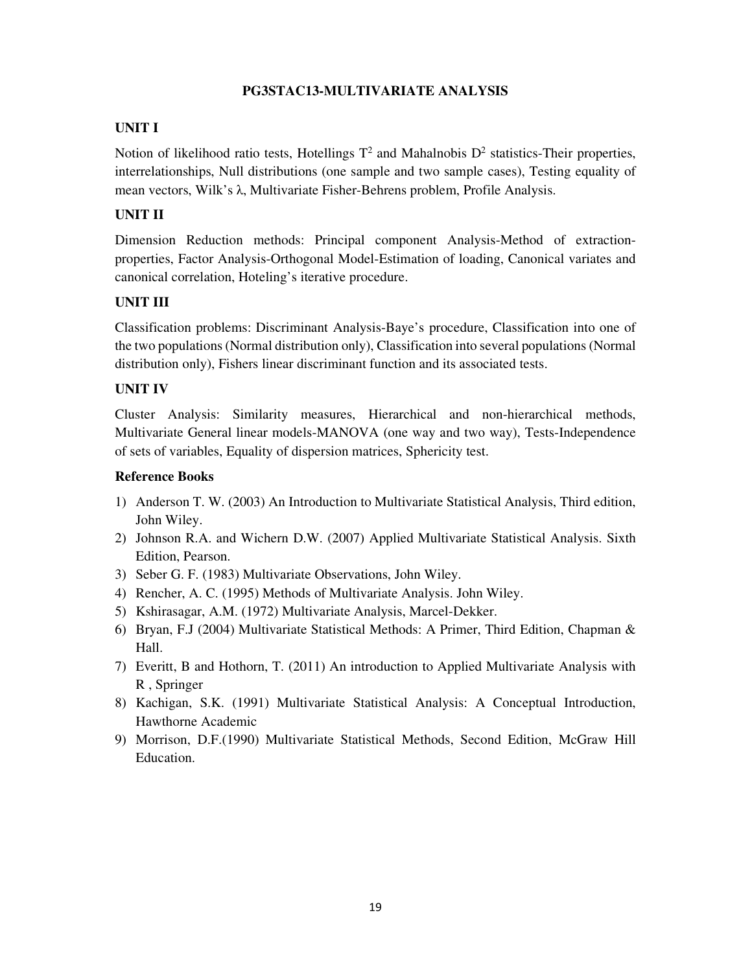# **PG3STAC13-MULTIVARIATE ANALYSIS**

# **UNIT I**

Notion of likelihood ratio tests, Hotellings  $T^2$  and Mahalnobis  $D^2$  statistics-Their properties, interrelationships, Null distributions (one sample and two sample cases), Testing equality of mean vectors, Wilk's λ, Multivariate Fisher-Behrens problem, Profile Analysis.

# **UNIT II**

Dimension Reduction methods: Principal component Analysis-Method of extractionproperties, Factor Analysis-Orthogonal Model-Estimation of loading, Canonical variates and canonical correlation, Hoteling's iterative procedure.

# **UNIT III**

Classification problems: Discriminant Analysis-Baye's procedure, Classification into one of the two populations (Normal distribution only), Classification into several populations (Normal distribution only), Fishers linear discriminant function and its associated tests.

# **UNIT IV**

Cluster Analysis: Similarity measures, Hierarchical and non-hierarchical methods, Multivariate General linear models-MANOVA (one way and two way), Tests-Independence of sets of variables, Equality of dispersion matrices, Sphericity test.

- 1) Anderson T. W. (2003) An Introduction to Multivariate Statistical Analysis, Third edition, John Wiley.
- 2) Johnson R.A. and Wichern D.W. (2007) Applied Multivariate Statistical Analysis. Sixth Edition, Pearson.
- 3) Seber G. F. (1983) Multivariate Observations, John Wiley.
- 4) Rencher, A. C. (1995) Methods of Multivariate Analysis. John Wiley.
- 5) Kshirasagar, A.M. (1972) Multivariate Analysis, Marcel-Dekker.
- 6) Bryan, F.J (2004) Multivariate Statistical Methods: A Primer, Third Edition, Chapman & Hall.
- 7) Everitt, B and Hothorn, T. (2011) An introduction to Applied Multivariate Analysis with R , Springer
- 8) Kachigan, S.K. (1991) Multivariate Statistical Analysis: A Conceptual Introduction, Hawthorne Academic
- 9) Morrison, D.F.(1990) Multivariate Statistical Methods, Second Edition, McGraw Hill Education.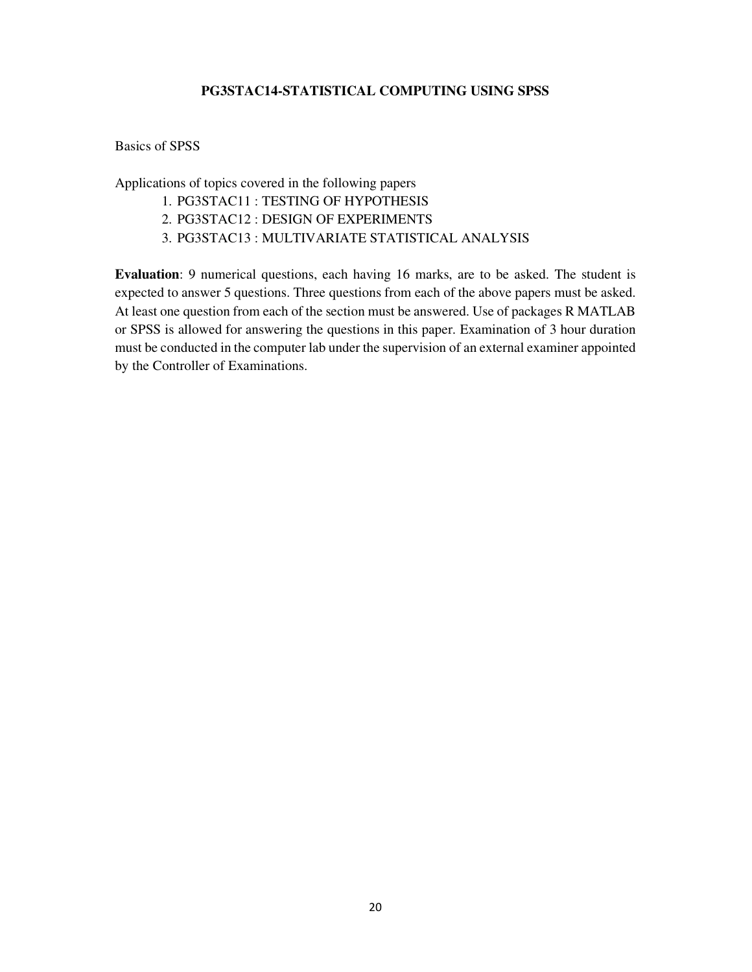### **PG3STAC14-STATISTICAL COMPUTING USING SPSS**

#### Basics of SPSS

Applications of topics covered in the following papers

- 1. PG3STAC11 : TESTING OF HYPOTHESIS
- 2. PG3STAC12 : DESIGN OF EXPERIMENTS
- 3. PG3STAC13 : MULTIVARIATE STATISTICAL ANALYSIS

**Evaluation**: 9 numerical questions, each having 16 marks, are to be asked. The student is expected to answer 5 questions. Three questions from each of the above papers must be asked. At least one question from each of the section must be answered. Use of packages R MATLAB or SPSS is allowed for answering the questions in this paper. Examination of 3 hour duration must be conducted in the computer lab under the supervision of an external examiner appointed by the Controller of Examinations.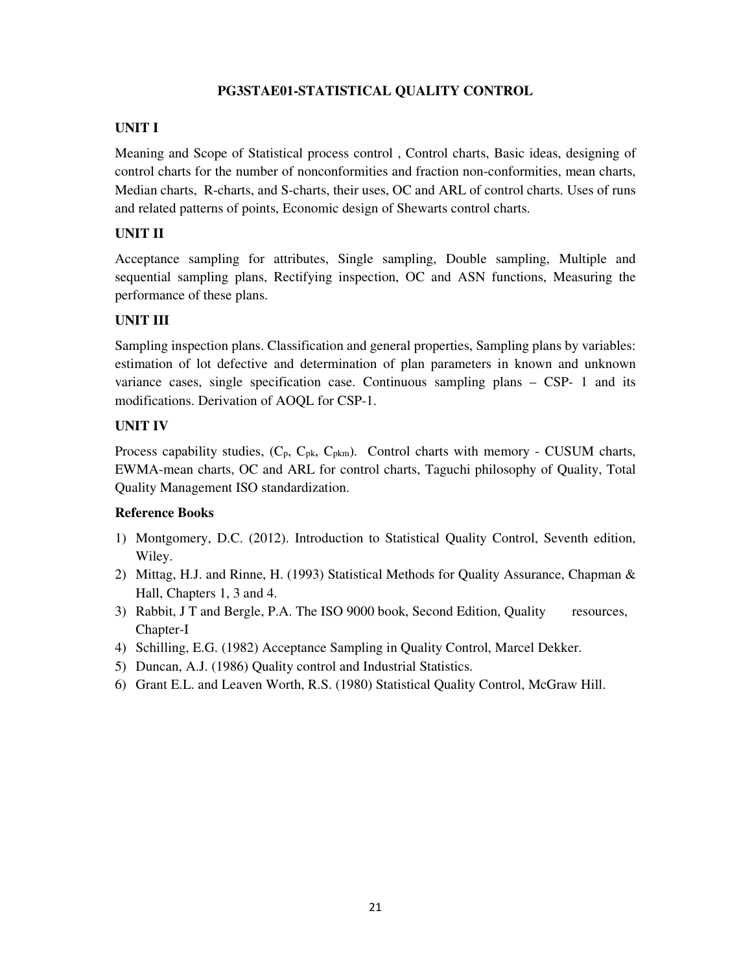# **PG3STAE01-STATISTICAL QUALITY CONTROL**

# **UNIT I**

Meaning and Scope of Statistical process control , Control charts, Basic ideas, designing of control charts for the number of nonconformities and fraction non-conformities, mean charts, Median charts, R-charts, and S-charts, their uses, OC and ARL of control charts. Uses of runs and related patterns of points, Economic design of Shewarts control charts.

# **UNIT II**

Acceptance sampling for attributes, Single sampling, Double sampling, Multiple and sequential sampling plans, Rectifying inspection, OC and ASN functions, Measuring the performance of these plans.

# **UNIT III**

Sampling inspection plans. Classification and general properties, Sampling plans by variables: estimation of lot defective and determination of plan parameters in known and unknown variance cases, single specification case. Continuous sampling plans – CSP- 1 and its modifications. Derivation of AOQL for CSP-1.

# **UNIT IV**

Process capability studies,  $(C_p, C_{pk}, C_{pkm})$ . Control charts with memory - CUSUM charts, EWMA-mean charts, OC and ARL for control charts, Taguchi philosophy of Quality, Total Quality Management ISO standardization.

- 1) Montgomery, D.C. (2012). Introduction to Statistical Quality Control, Seventh edition, Wiley.
- 2) Mittag, H.J. and Rinne, H. (1993) Statistical Methods for Quality Assurance, Chapman & Hall, Chapters 1, 3 and 4.
- 3) Rabbit, J T and Bergle, P.A. The ISO 9000 book, Second Edition, Quality resources, Chapter-I
- 4) Schilling, E.G. (1982) Acceptance Sampling in Quality Control, Marcel Dekker.
- 5) Duncan, A.J. (1986) Quality control and Industrial Statistics.
- 6) Grant E.L. and Leaven Worth, R.S. (1980) Statistical Quality Control, McGraw Hill.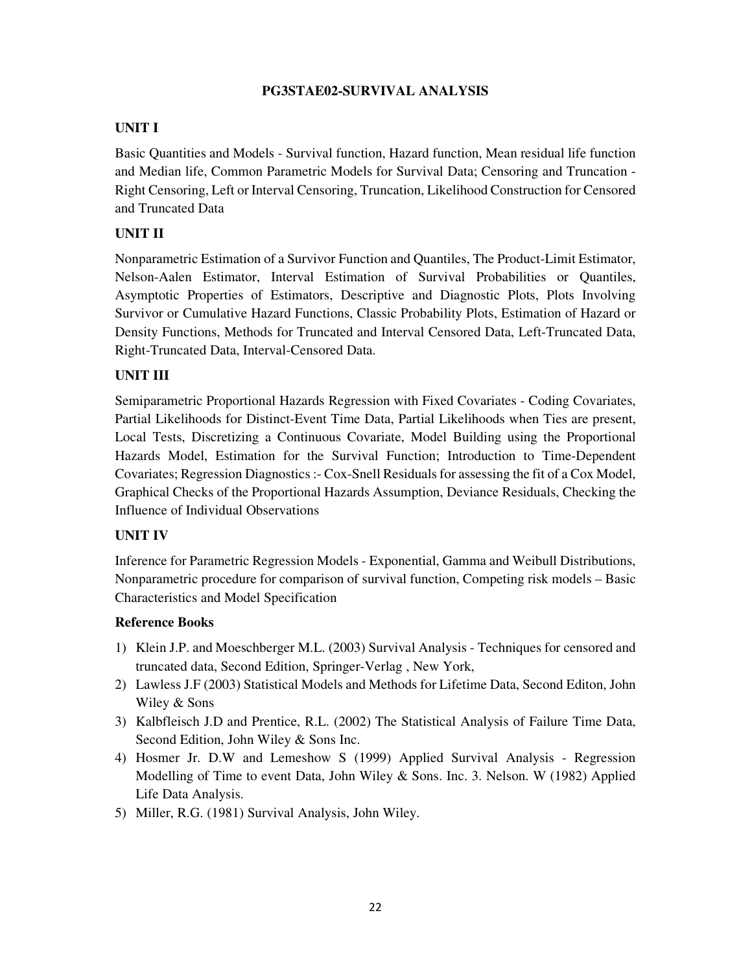# **PG3STAE02-SURVIVAL ANALYSIS**

# **UNIT I**

Basic Quantities and Models - Survival function, Hazard function, Mean residual life function and Median life, Common Parametric Models for Survival Data; Censoring and Truncation - Right Censoring, Left or Interval Censoring, Truncation, Likelihood Construction for Censored and Truncated Data

# **UNIT II**

Nonparametric Estimation of a Survivor Function and Quantiles, The Product-Limit Estimator, Nelson-Aalen Estimator, Interval Estimation of Survival Probabilities or Quantiles, Asymptotic Properties of Estimators, Descriptive and Diagnostic Plots, Plots Involving Survivor or Cumulative Hazard Functions, Classic Probability Plots, Estimation of Hazard or Density Functions, Methods for Truncated and Interval Censored Data, Left-Truncated Data, Right-Truncated Data, Interval-Censored Data.

# **UNIT III**

Semiparametric Proportional Hazards Regression with Fixed Covariates - Coding Covariates, Partial Likelihoods for Distinct-Event Time Data, Partial Likelihoods when Ties are present, Local Tests, Discretizing a Continuous Covariate, Model Building using the Proportional Hazards Model, Estimation for the Survival Function; Introduction to Time-Dependent Covariates; Regression Diagnostics :- Cox-Snell Residuals for assessing the fit of a Cox Model, Graphical Checks of the Proportional Hazards Assumption, Deviance Residuals, Checking the Influence of Individual Observations

# **UNIT IV**

Inference for Parametric Regression Models - Exponential, Gamma and Weibull Distributions, Nonparametric procedure for comparison of survival function, Competing risk models – Basic Characteristics and Model Specification

- 1) Klein J.P. and Moeschberger M.L. (2003) Survival Analysis Techniques for censored and truncated data, Second Edition, Springer-Verlag , New York,
- 2) Lawless J.F (2003) Statistical Models and Methods for Lifetime Data, Second Editon, John Wiley & Sons
- 3) Kalbfleisch J.D and Prentice, R.L. (2002) The Statistical Analysis of Failure Time Data, Second Edition, John Wiley & Sons Inc.
- 4) Hosmer Jr. D.W and Lemeshow S (1999) Applied Survival Analysis Regression Modelling of Time to event Data, John Wiley & Sons. Inc. 3. Nelson. W (1982) Applied Life Data Analysis.
- 5) Miller, R.G. (1981) Survival Analysis, John Wiley.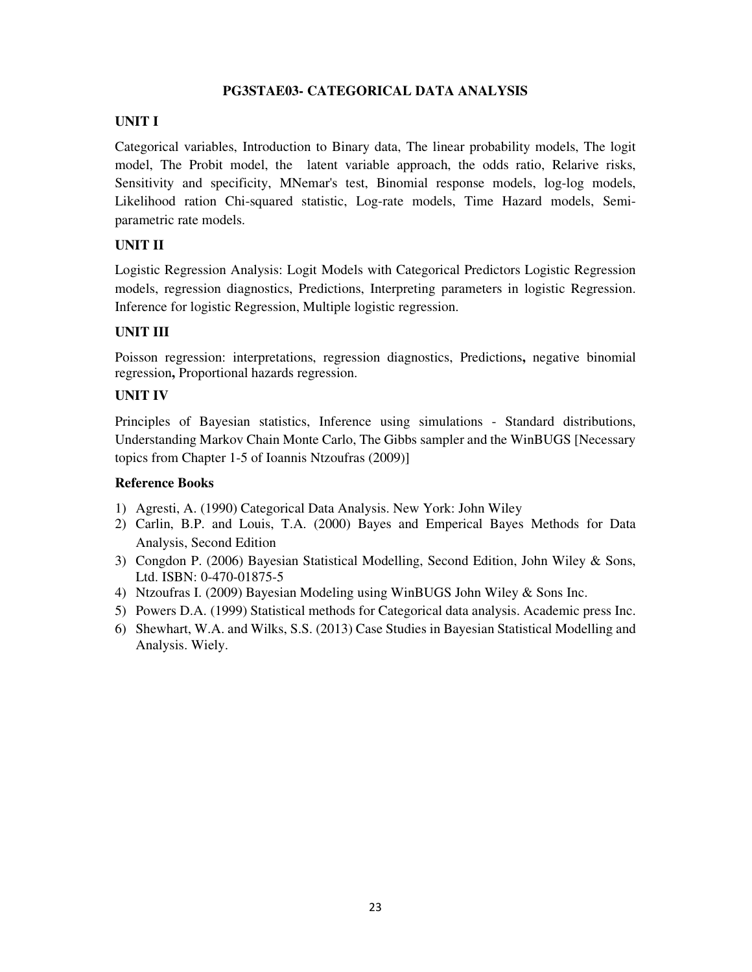### **PG3STAE03- CATEGORICAL DATA ANALYSIS**

# **UNIT I**

Categorical variables, Introduction to Binary data, The linear probability models, The logit model, The Probit model, the latent variable approach, the odds ratio, Relarive risks, Sensitivity and specificity, MNemar's test, Binomial response models, log-log models, Likelihood ration Chi-squared statistic, Log-rate models, Time Hazard models, Semiparametric rate models.

### **UNIT II**

Logistic Regression Analysis: Logit Models with Categorical Predictors Logistic Regression models, regression diagnostics, Predictions, Interpreting parameters in logistic Regression. Inference for logistic Regression, Multiple logistic regression.

### **UNIT III**

Poisson regression: interpretations, regression diagnostics, Predictions**,** negative binomial regression**,** Proportional hazards regression.

### **UNIT IV**

Principles of Bayesian statistics, Inference using simulations - Standard distributions, Understanding Markov Chain Monte Carlo, The Gibbs sampler and the WinBUGS [Necessary topics from Chapter 1-5 of Ioannis Ntzoufras (2009)]

- 1) Agresti, A. (1990) Categorical Data Analysis. New York: John Wiley
- 2) Carlin, B.P. and Louis, T.A. (2000) Bayes and Emperical Bayes Methods for Data Analysis, Second Edition
- 3) Congdon P. (2006) Bayesian Statistical Modelling, Second Edition, John Wiley & Sons, Ltd. ISBN: 0-470-01875-5
- 4) Ntzoufras I. (2009) Bayesian Modeling using WinBUGS John Wiley & Sons Inc.
- 5) Powers D.A. (1999) Statistical methods for Categorical data analysis. Academic press Inc.
- 6) Shewhart, W.A. and Wilks, S.S. (2013) Case Studies in Bayesian Statistical Modelling and Analysis. Wiely.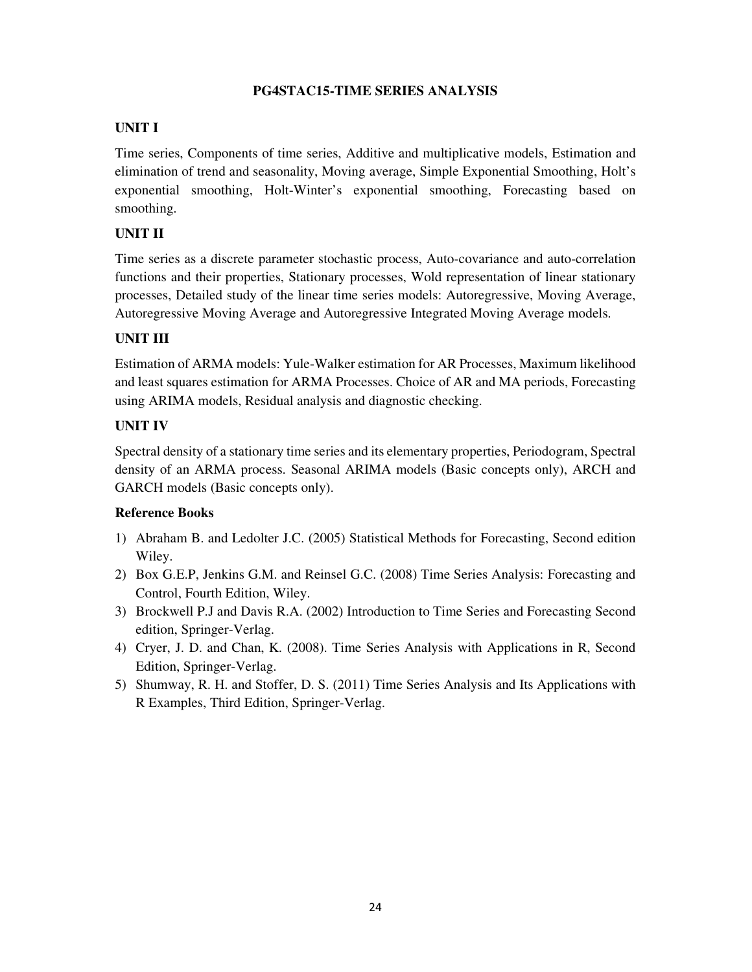# **PG4STAC15-TIME SERIES ANALYSIS**

# **UNIT I**

Time series, Components of time series, Additive and multiplicative models, Estimation and elimination of trend and seasonality, Moving average, Simple Exponential Smoothing, Holt's exponential smoothing, Holt-Winter's exponential smoothing, Forecasting based on smoothing.

# **UNIT II**

Time series as a discrete parameter stochastic process, Auto-covariance and auto-correlation functions and their properties, Stationary processes, Wold representation of linear stationary processes, Detailed study of the linear time series models: Autoregressive, Moving Average, Autoregressive Moving Average and Autoregressive Integrated Moving Average models.

# **UNIT III**

Estimation of ARMA models: Yule-Walker estimation for AR Processes, Maximum likelihood and least squares estimation for ARMA Processes. Choice of AR and MA periods, Forecasting using ARIMA models, Residual analysis and diagnostic checking.

# **UNIT IV**

Spectral density of a stationary time series and its elementary properties, Periodogram, Spectral density of an ARMA process. Seasonal ARIMA models (Basic concepts only), ARCH and GARCH models (Basic concepts only).

- 1) Abraham B. and Ledolter J.C. (2005) Statistical Methods for Forecasting, Second edition Wiley.
- 2) Box G.E.P, Jenkins G.M. and Reinsel G.C. (2008) Time Series Analysis: Forecasting and Control, Fourth Edition, Wiley.
- 3) Brockwell P.J and Davis R.A. (2002) Introduction to Time Series and Forecasting Second edition, Springer-Verlag.
- 4) Cryer, J. D. and Chan, K. (2008). Time Series Analysis with Applications in R, Second Edition, Springer-Verlag.
- 5) Shumway, R. H. and Stoffer, D. S. (2011) Time Series Analysis and Its Applications with R Examples, Third Edition, Springer-Verlag.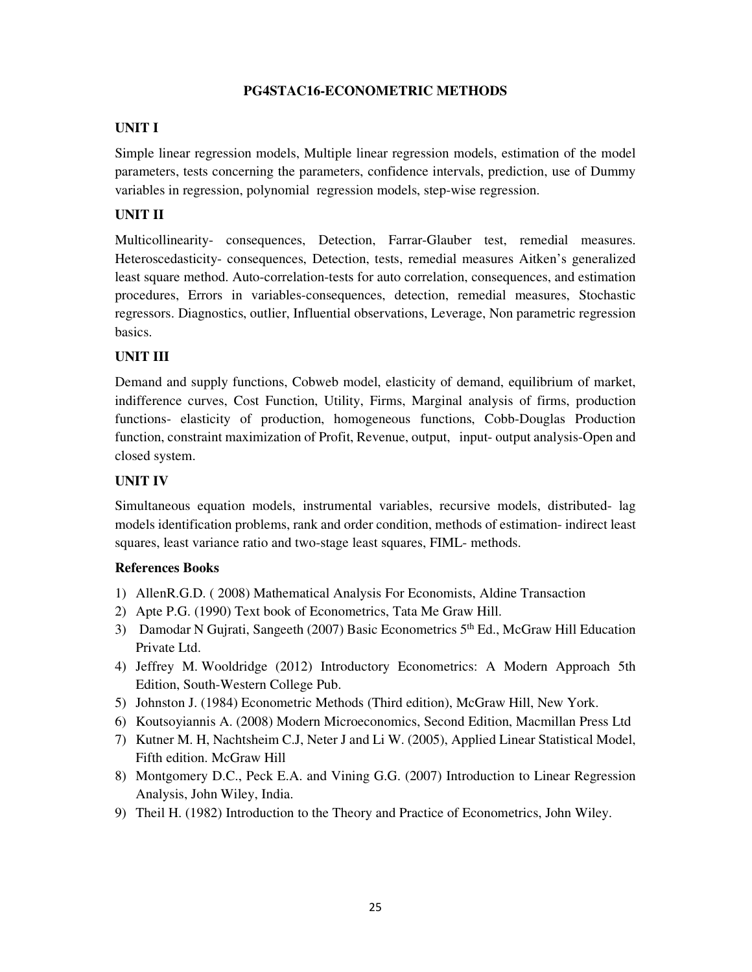# **PG4STAC16-ECONOMETRIC METHODS**

# **UNIT I**

Simple linear regression models, Multiple linear regression models, estimation of the model parameters, tests concerning the parameters, confidence intervals, prediction, use of Dummy variables in regression, polynomial regression models, step-wise regression.

# **UNIT II**

Multicollinearity- consequences, Detection, Farrar-Glauber test, remedial measures. Heteroscedasticity- consequences, Detection, tests, remedial measures Aitken's generalized least square method. Auto-correlation-tests for auto correlation, consequences, and estimation procedures, Errors in variables-consequences, detection, remedial measures, Stochastic regressors. Diagnostics, outlier, Influential observations, Leverage, Non parametric regression basics.

# **UNIT III**

Demand and supply functions, Cobweb model, elasticity of demand, equilibrium of market, indifference curves, Cost Function, Utility, Firms, Marginal analysis of firms, production functions- elasticity of production, homogeneous functions, Cobb-Douglas Production function, constraint maximization of Profit, Revenue, output, input- output analysis-Open and closed system.

### **UNIT IV**

Simultaneous equation models, instrumental variables, recursive models, distributed- lag models identification problems, rank and order condition, methods of estimation- indirect least squares, least variance ratio and two-stage least squares, FIML- methods.

- 1) AllenR.G.D. ( 2008) Mathematical Analysis For Economists, Aldine Transaction
- 2) Apte P.G. (1990) Text book of Econometrics, Tata Me Graw Hill.
- 3) Damodar N Gujrati, Sangeeth (2007) Basic Econometrics 5<sup>th</sup> Ed., McGraw Hill Education Private Ltd.
- 4) Jeffrey M. Wooldridge (2012) Introductory Econometrics: A Modern Approach 5th Edition, South-Western College Pub.
- 5) Johnston J. (1984) Econometric Methods (Third edition), McGraw Hill, New York.
- 6) Koutsoyiannis A. (2008) Modern Microeconomics, Second Edition, Macmillan Press Ltd
- 7) Kutner M. H, Nachtsheim C.J, Neter J and Li W. (2005), Applied Linear Statistical Model, Fifth edition. McGraw Hill
- 8) Montgomery D.C., Peck E.A. and Vining G.G. (2007) Introduction to Linear Regression Analysis, John Wiley, India.
- 9) Theil H. (1982) Introduction to the Theory and Practice of Econometrics, John Wiley.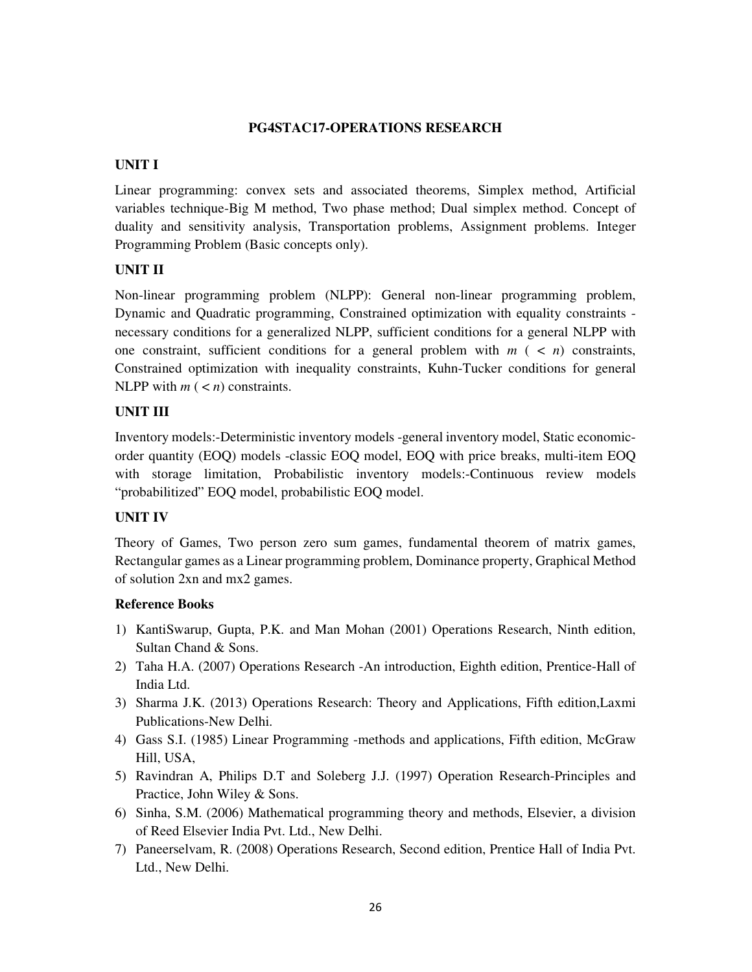### **PG4STAC17-OPERATIONS RESEARCH**

### **UNIT I**

Linear programming: convex sets and associated theorems, Simplex method, Artificial variables technique-Big M method, Two phase method; Dual simplex method. Concept of duality and sensitivity analysis, Transportation problems, Assignment problems. Integer Programming Problem (Basic concepts only).

# **UNIT II**

Non-linear programming problem (NLPP): General non-linear programming problem, Dynamic and Quadratic programming, Constrained optimization with equality constraints necessary conditions for a generalized NLPP, sufficient conditions for a general NLPP with one constraint, sufficient conditions for a general problem with  $m$  ( $\lt n$ ) constraints, Constrained optimization with inequality constraints, Kuhn-Tucker conditions for general NLPP with  $m$  ( $\lt n$ ) constraints.

### **UNIT III**

Inventory models:-Deterministic inventory models -general inventory model, Static economicorder quantity (EOQ) models -classic EOQ model, EOQ with price breaks, multi-item EOQ with storage limitation, Probabilistic inventory models:-Continuous review models "probabilitized" EOQ model, probabilistic EOQ model.

# **UNIT IV**

Theory of Games, Two person zero sum games, fundamental theorem of matrix games, Rectangular games as a Linear programming problem, Dominance property, Graphical Method of solution 2xn and mx2 games.

- 1) KantiSwarup, Gupta, P.K. and Man Mohan (2001) Operations Research, Ninth edition, Sultan Chand & Sons.
- 2) Taha H.A. (2007) Operations Research -An introduction, Eighth edition, Prentice-Hall of India Ltd.
- 3) Sharma J.K. (2013) Operations Research: Theory and Applications, Fifth edition,Laxmi Publications-New Delhi.
- 4) Gass S.I. (1985) Linear Programming -methods and applications, Fifth edition, McGraw Hill, USA,
- 5) Ravindran A, Philips D.T and Soleberg J.J. (1997) Operation Research-Principles and Practice, John Wiley & Sons.
- 6) Sinha, S.M. (2006) Mathematical programming theory and methods, Elsevier, a division of Reed Elsevier India Pvt. Ltd., New Delhi.
- 7) Paneerselvam, R. (2008) Operations Research, Second edition, Prentice Hall of India Pvt. Ltd., New Delhi.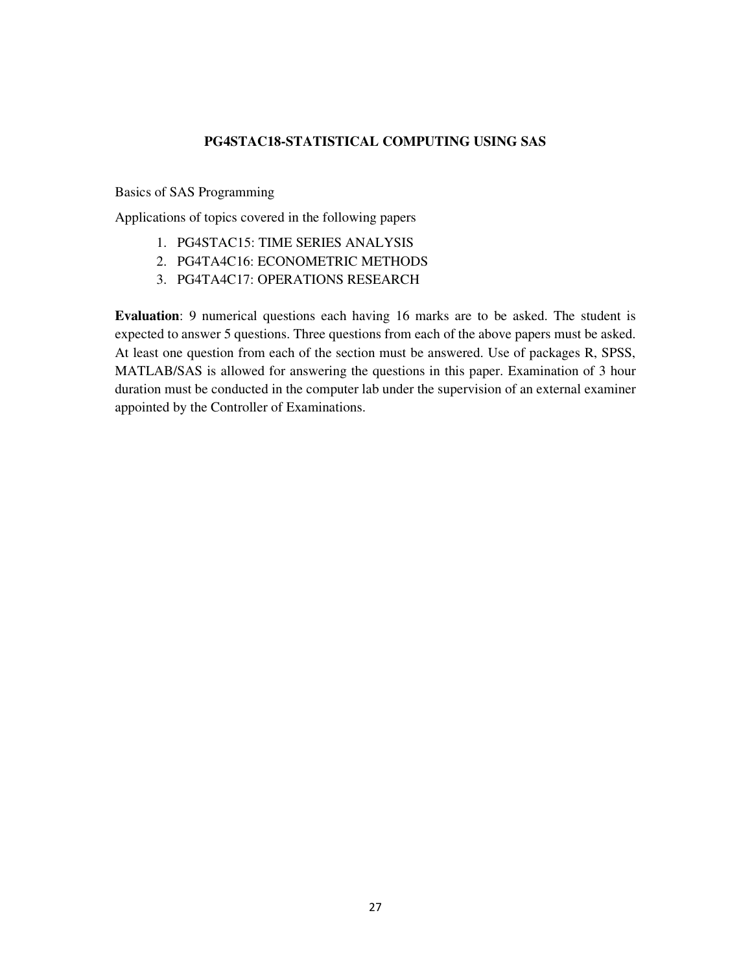### **PG4STAC18-STATISTICAL COMPUTING USING SAS**

Basics of SAS Programming

Applications of topics covered in the following papers

- 1. PG4STAC15: TIME SERIES ANALYSIS
- 2. PG4TA4C16: ECONOMETRIC METHODS
- 3. PG4TA4C17: OPERATIONS RESEARCH

**Evaluation**: 9 numerical questions each having 16 marks are to be asked. The student is expected to answer 5 questions. Three questions from each of the above papers must be asked. At least one question from each of the section must be answered. Use of packages R, SPSS, MATLAB/SAS is allowed for answering the questions in this paper. Examination of 3 hour duration must be conducted in the computer lab under the supervision of an external examiner appointed by the Controller of Examinations.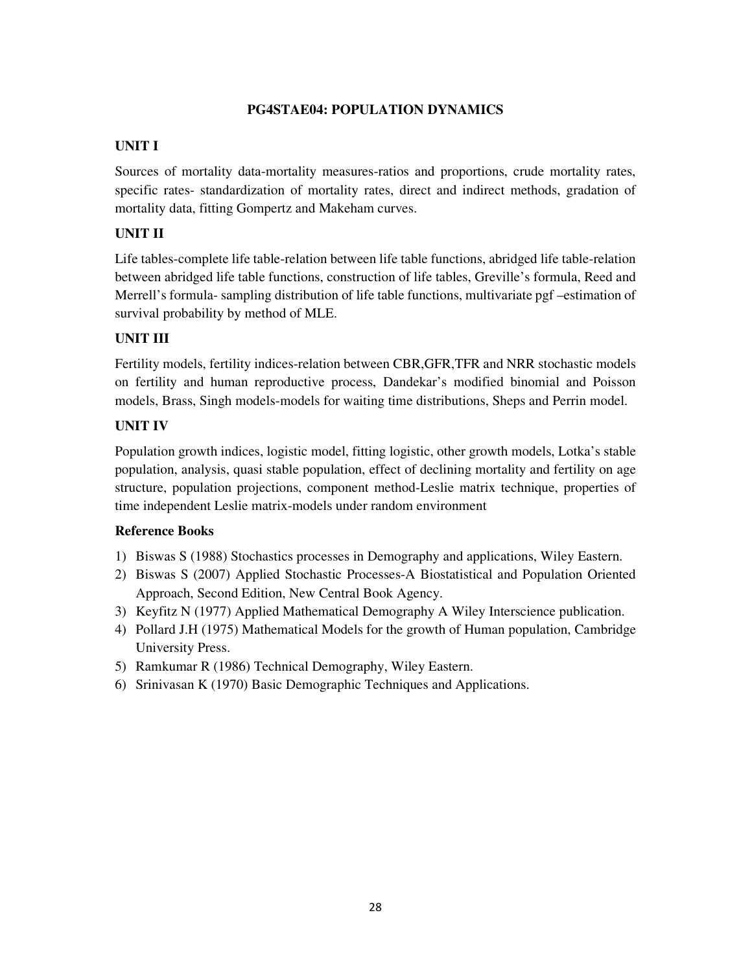### **PG4STAE04: POPULATION DYNAMICS**

# **UNIT I**

Sources of mortality data-mortality measures-ratios and proportions, crude mortality rates, specific rates- standardization of mortality rates, direct and indirect methods, gradation of mortality data, fitting Gompertz and Makeham curves.

# **UNIT II**

Life tables-complete life table-relation between life table functions, abridged life table-relation between abridged life table functions, construction of life tables, Greville's formula, Reed and Merrell's formula- sampling distribution of life table functions, multivariate pgf –estimation of survival probability by method of MLE.

# **UNIT III**

Fertility models, fertility indices-relation between CBR,GFR,TFR and NRR stochastic models on fertility and human reproductive process, Dandekar's modified binomial and Poisson models, Brass, Singh models-models for waiting time distributions, Sheps and Perrin model.

# **UNIT IV**

Population growth indices, logistic model, fitting logistic, other growth models, Lotka's stable population, analysis, quasi stable population, effect of declining mortality and fertility on age structure, population projections, component method-Leslie matrix technique, properties of time independent Leslie matrix-models under random environment

- 1) Biswas S (1988) Stochastics processes in Demography and applications, Wiley Eastern.
- 2) Biswas S (2007) Applied Stochastic Processes-A Biostatistical and Population Oriented Approach, Second Edition, New Central Book Agency.
- 3) Keyfitz N (1977) Applied Mathematical Demography A Wiley Interscience publication.
- 4) Pollard J.H (1975) Mathematical Models for the growth of Human population, Cambridge University Press.
- 5) Ramkumar R (1986) Technical Demography, Wiley Eastern.
- 6) Srinivasan K (1970) Basic Demographic Techniques and Applications.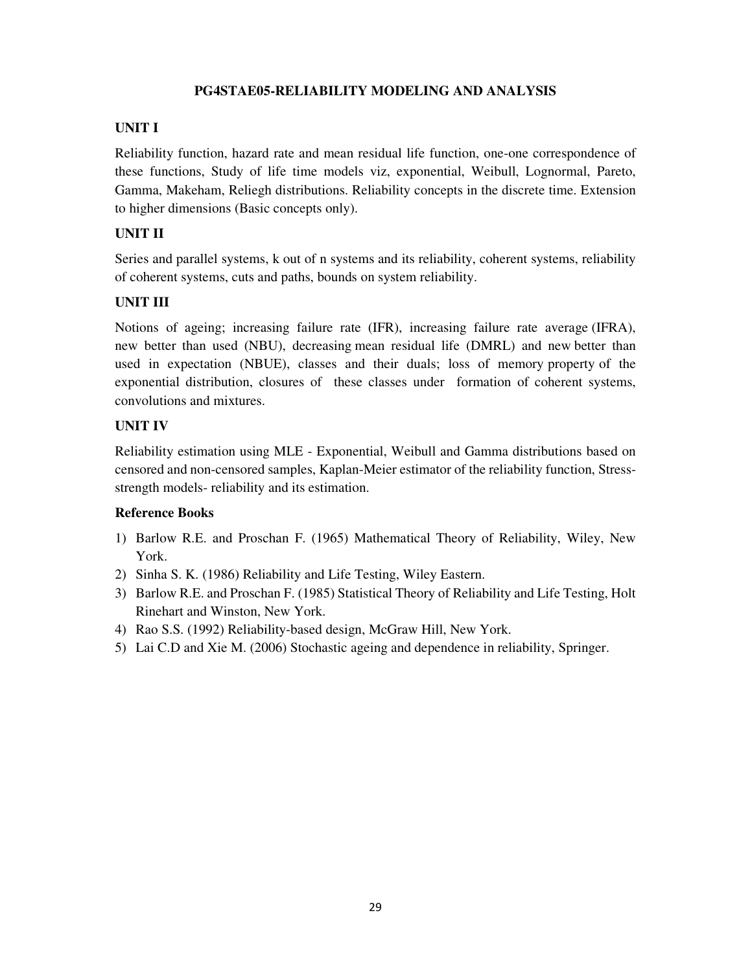# **PG4STAE05-RELIABILITY MODELING AND ANALYSIS**

# **UNIT I**

Reliability function, hazard rate and mean residual life function, one-one correspondence of these functions, Study of life time models viz, exponential, Weibull, Lognormal, Pareto, Gamma, Makeham, Reliegh distributions. Reliability concepts in the discrete time. Extension to higher dimensions (Basic concepts only).

# **UNIT II**

Series and parallel systems, k out of n systems and its reliability, coherent systems, reliability of coherent systems, cuts and paths, bounds on system reliability.

# **UNIT III**

Notions of ageing; increasing failure rate (IFR), increasing failure rate average (IFRA), new better than used (NBU), decreasing mean residual life (DMRL) and new better than used in expectation (NBUE), classes and their duals; loss of memory property of the exponential distribution, closures of these classes under formation of coherent systems, convolutions and mixtures.

# **UNIT IV**

Reliability estimation using MLE - Exponential, Weibull and Gamma distributions based on censored and non-censored samples, Kaplan-Meier estimator of the reliability function, Stressstrength models- reliability and its estimation.

- 1) Barlow R.E. and Proschan F. (1965) Mathematical Theory of Reliability, Wiley, New York.
- 2) Sinha S. K. (1986) Reliability and Life Testing, Wiley Eastern.
- 3) Barlow R.E. and Proschan F. (1985) Statistical Theory of Reliability and Life Testing, Holt Rinehart and Winston, New York.
- 4) Rao S.S. (1992) Reliability-based design, McGraw Hill, New York.
- 5) Lai C.D and Xie M. (2006) Stochastic ageing and dependence in reliability, Springer.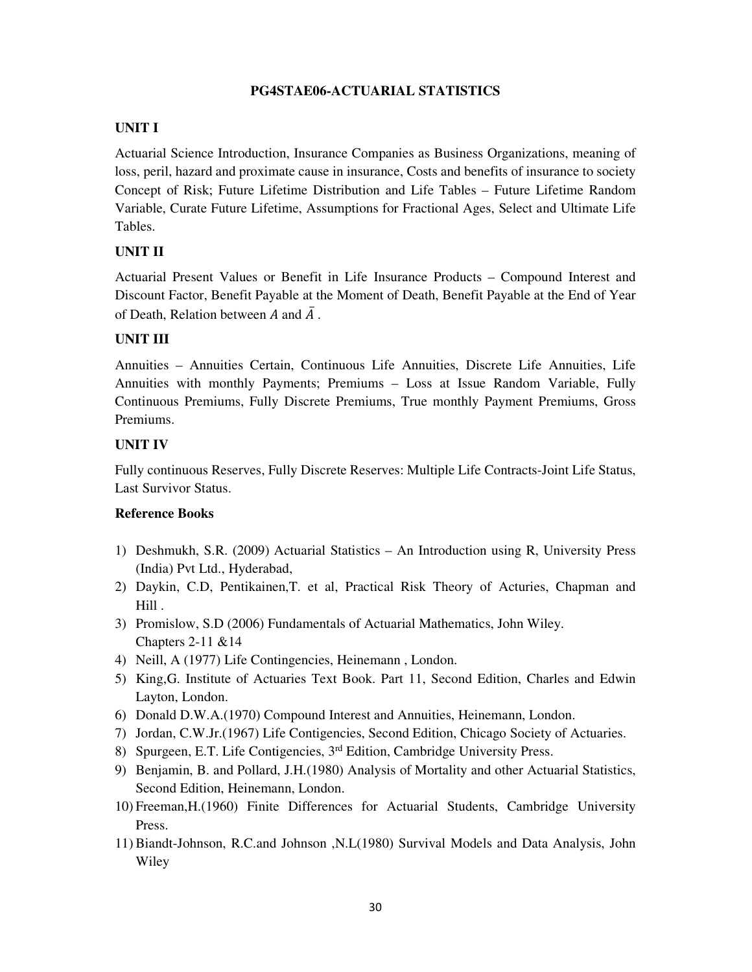# **PG4STAE06-ACTUARIAL STATISTICS**

# **UNIT I**

Actuarial Science Introduction, Insurance Companies as Business Organizations, meaning of loss, peril, hazard and proximate cause in insurance, Costs and benefits of insurance to society Concept of Risk; Future Lifetime Distribution and Life Tables – Future Lifetime Random Variable, Curate Future Lifetime, Assumptions for Fractional Ages, Select and Ultimate Life Tables.

# **UNIT II**

Actuarial Present Values or Benefit in Life Insurance Products – Compound Interest and Discount Factor, Benefit Payable at the Moment of Death, Benefit Payable at the End of Year of Death, Relation between A and  $\overline{A}$ .

# **UNIT III**

Annuities – Annuities Certain, Continuous Life Annuities, Discrete Life Annuities, Life Annuities with monthly Payments; Premiums – Loss at Issue Random Variable, Fully Continuous Premiums, Fully Discrete Premiums, True monthly Payment Premiums, Gross Premiums.

# **UNIT IV**

Fully continuous Reserves, Fully Discrete Reserves: Multiple Life Contracts-Joint Life Status, Last Survivor Status.

- 1) Deshmukh, S.R. (2009) Actuarial Statistics An Introduction using R, University Press (India) Pvt Ltd., Hyderabad,
- 2) Daykin, C.D, Pentikainen,T. et al, Practical Risk Theory of Acturies, Chapman and Hill .
- 3) Promislow, S.D (2006) Fundamentals of Actuarial Mathematics, John Wiley. Chapters 2-11 &14
- 4) Neill, A (1977) Life Contingencies, Heinemann , London.
- 5) King,G. Institute of Actuaries Text Book. Part 11, Second Edition, Charles and Edwin Layton, London.
- 6) Donald D.W.A.(1970) Compound Interest and Annuities, Heinemann, London.
- 7) Jordan, C.W.Jr.(1967) Life Contigencies, Second Edition, Chicago Society of Actuaries.
- 8) Spurgeen, E.T. Life Contigencies, 3rd Edition, Cambridge University Press.
- 9) Benjamin, B. and Pollard, J.H.(1980) Analysis of Mortality and other Actuarial Statistics, Second Edition, Heinemann, London.
- 10) Freeman,H.(1960) Finite Differences for Actuarial Students, Cambridge University Press.
- 11) Biandt-Johnson, R.C.and Johnson ,N.L(1980) Survival Models and Data Analysis, John Wiley